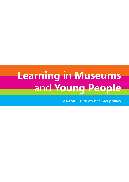# **Learning** in **Museums** and **Young People**

a **NEMO - LEM** Working Group **study**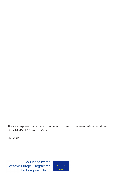The views expressed in this report are the authors' and do not necessarily reflect those of the NEMO - LEM Working Group

March 2015

Co-funded by the **Creative Europe Programme** of the European Union

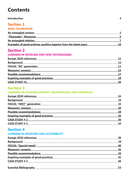# **Contents**

## **Introduction 4**

# **Section 1 BASIC FRAMEWORK An entangled context** 5 **"Playmaker" Museums 5** An entangled relation **7**

| <b>Examples of good pratices: positive legacies from the latest years</b> |  | 10 |
|---------------------------------------------------------------------------|--|----|
|                                                                           |  |    |

# **Section 2**

# **LEARNING IN MUSEUMS AND NEW TECHNOLOGIES**

| 11 |
|----|
| 13 |
| 14 |
| 17 |
| 18 |
| 20 |
|    |

# **Section 3**

# **LEARNING IN MUSEUMS AGAINST DISADVANTAGE AND DISENGAGE**

| <b>Europe 2020 references</b>               | 24 |
|---------------------------------------------|----|
| <b>Background</b>                           | 25 |
| <b>FOCUS: "NEET" generation</b>             | 25 |
| <b>Museums' answers</b>                     | 28 |
| <b>Possible recommendations</b>             | 28 |
| <b>Inspiring examples of good practices</b> | 29 |
| <b>CASE STUDY #2</b>                        | 30 |
| <b>CASE STUDY #3</b>                        | 34 |
|                                             |    |

# **Section 4**

# **LEARNING IN MUSEUMS AND ACCESSIBILITY**

| <b>Europe 2020 references</b>               | 38 |
|---------------------------------------------|----|
| <b>Background</b>                           | 39 |
| <b>FOCUS: "Special needs"</b>               | 40 |
| <b>Museums' answers</b>                     | 43 |
| <b>Possible recommendations</b>             | 45 |
| <b>Inspiring examples of good practices</b> | 45 |
| <b>CASE STUDY #4</b>                        | 48 |
|                                             |    |

# **Essential Bibliography 53**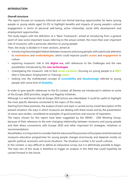## **INTRODUCTION**

### **Overall structure**

The report focuses on museums informal and non-formal learning opportunities for teens (young people or young adults aged 14-25) to highlight benefits and impacts of young people's cultural engagement in terms of personal well-being, active citizenship, social skills development and employment opportunities.

The study begins with the definition of a "Basic Framework", aimed at introducing from a general point of view some important issues referring to the actual context, the more-than-ever important role of museums, with a particular attention to young people.

Then, the study is divided in 4 main sections, aimed at:

- introducing the entangled relation between museums and young people, with a particular attention to **motivations** and **methodologies**, which could improve youth's **access** and **engagement** in culture
- exploring museums' role in the **digital era**, with references to the challenges and the new possibilities introduced by the **new technologies**
- investigating the museums' role to face **social exclusion**, focusing on young people in a **NEET** (Not in Education, Employment or Training) **status**
- looking into the multifaceted concept of **accessibility** and **disadvantage** referred to young people with some kind of **disability**

In order to give specific references to the EU context, all themes are introduced in relation to some of the *Europe 2020* priorities, targets and flagship initiatives.

Although it is well known that all *Europe 2020* actions are interrelated, it could be useful to highlight the most specific elements connected to the topics of this study.

Starting from these premises, the analysis of each one topic is carried out by a brief description of the present situation, the ways in which museums are dealing with these issues and by the presentation of some case studies, considered as examples of good practices and sources of inspiration.

The topics chosen for this report have been suggested by the NEMO - LEM Working Group, because of their relevance to the ever-changing relationship between museums and young people and their direct connections with Europe 2020 and other important EU strategies, initiatives or recommendations.

Nonetheless, it is important to consider that the nature and the provision of European and International museums education programmes for young people changes enormously and depends mostly on specific political, economic and social situations. The situation is similar is for youth cultures.

In this context, is very difficult to define an exhaustive survey, but it is definitively possible to begin. The main aim of this study is therefore to trigger an analysis in this field that could hopefully be carried forward in the future.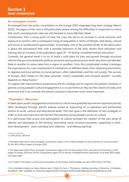# **An entangled context**

As emerged from the public consultation on the Europe 2020 integrated long-term strategy (March 2015)<sup>1</sup>, the legacy of the crisis is still particularly severe; among the difficulties it's important to notice that youth unemployment rates are still elevated in many Member States.

Furthermore, from a social point of view, the crisis has led to an increase in social exclusion and exposure to poverty with a consequent rising of inequalities in terms of lifestyle, well-being, cultural and access to professional opportunities<sup>2</sup>. Fortunately, one of the positive trends of the latest years is about the educational field, with a sensible reduction of the early leavers from education and training and an increase of the population aged  $30 - 34$  having completed tertiary education<sup>3</sup>.

Currently, the general trend is to try to build a solid basis for jobs and growth through structural reforms that are concerned with political, economic and social issues but which vary from one Member State to another (in some cases from a region to another). From this complicated context it emerges the importance of a cross-involvement of institutions on different levels: from national governments, to regional and local policies, to social partners, other stakeholders and the civil society. The success of Europe 2020, based on the three priorities "smart, sustainable and inclusive growth", crucially depends on these factors.4

To support the improvements proposed by the EU strategy and to improve the present situation in general, young people's cultural engagement is a crucial theme as they are the citizens of today and tomorrow and if we consider the present situation it becomes much more important.

# **"Playmaker" Museums**

In latest years youth's engagement and access to culture have gradually become an important priority, often developed through specific policies aimed at supporting of co-operation and partnership actions at social, cultural and educational levels. The main goal is the definition of new strategies in order to face and overcome the barriers that prevent young people's access to culture.

It is well-known that access and participation to culture facilitate the creation of the own sense of identity and belonging to the territory, promoting social inclusion processes, supporting a multilevel development - both individual and collective - and lifelong learning<sup>5</sup>.

3 The latest data (2013) from European Commission report 12% of early leavers from education and training vs 10% target of *Europe 2020* and 36.9% of population aged 30-34 having completed tertiary education vs at least 40% target of *Europe 2020*.

4 For further information on the actual evaluation of the *Europe 2020* strategy see also COM (2014) 130 final

5 For a detailed analysis on these themes see K. Gibbs, M. Sani, J. Thompson, *Lifelong Learning in Museums. A European Handbook*, 2007 available on online.ibc.regione.emilia-romagna.it/I/libri/pdf/LifelongLearninginMuseums.pdf

<sup>1</sup> COM (2015) 100 final

<sup>2</sup> The latest data (2013) from European Commission report 121.6 million people at risk of poverty of social exclusion VS the 96.6 million target of *Europe 2020*.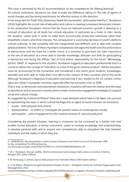This issue is witnessed by the EU recommendation on key competences for lifelong learning<sup>6</sup>.

As cultural institutions, Museums can help to make the difference, taking on the role of agents of social changes and becoming benchmarks for effective actions in this direction.

In her essay *Not For Profit: Why Democracy Needs the Humanities<sup>7</sup>* , philosopher Martha C. Nussbaum (2010) highlights the crucial role of education and culture in creating competent democratic citizens. In her publication Nussbaum notices that the focus on national economic growth is allowing to a concept of education (at all levels but schools education in particular) as a mean to train mainly the students' useful skills in order to make them economically productive individuals rather than empathetic citizens who think critically. The consequence is a worrying decrease of youth's ability to criticize authority, to feel sympathy with the marginalized and different, and to deal with complex global problems. The loss of these important competences damages the health and the performance of democracies and the hope for a better future. It is essential to give back the right importance to the role of education as a mean able to transfer knowledge, attitudes and skills for participating in democracy and facing the diffuse "lack of trust and/or responsibility for the future" (Benasayag, Schmit, 2004)<sup>8</sup>. In response to this situation, Nussbaum suggests to education professionals that it is crucial to reduce the concept of "education as a tool of the gross national product". Rather, education must be reconnected to the humanities and considered a tool which gives students' knowledges, attitudes and skills able to make them true democratic citizens of their countries and of the world. Although Nussbaum's diagnosis of education and learning is very related to the US context, similar signs are visible in European countries, especially after the economic crisis in 2008.

That is why, as democratic and educational institutions, museums still have the chance (and the duty) to become an active resource in society and to create constructive engagement strategies to support social and cultural change.

As suggested by Cristina Da Milano<sup>9</sup> there are 3 main elements which have to be taken into account as representing the ways in which cultural heritage acts as agent of social inclusion (or exclusion):

- access both physical and cultural
- representation to reflect or investigate the present values of contemporary society
- participation active engagement in the creation process of cultural production

Considering the present situation, learning in museums can be conceived as a further tool next to/after formal education, a further instrument, useful to increase knowledge and understanding, to develop personal skills and to acquire new competences, able to strengthen the links between individuals and the reality in which they live.

9 C. Da MIlano, *Museums as agent of social inclusion,* Eccom – European Centre for Cultural Organisation and Management, 2013

museummediators.eu/wp-content/uploads/2013/09/Museums-as-agents-of-social-inclusion\_DaMilano.pdf

<sup>6 (2006/962/</sup>EC) Recommendation of the European Parliament and of the Council of 18 December 2006 on key competences for lifelong learning eur-lex.europa.eu/legal-content/EN/TXT/PDF/?uri=CELEX:32006H0962&from=EN

<sup>7</sup> M. C. Nussbaum, *Non per profitto. Perché le democrazie hanno bisogno della cultura umanistica*, Il Mulino, Bologna 2011 (italian edition)

<sup>8</sup> M. Benasayag, G. Schmit, *L'epoca delle passioni tristi*, Feltrinelli, Milano 2004 (italian edition)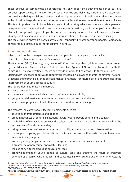These positive outcomes must be considered not only important achievements per se but also precious opportunities in relation to the social context and daily life, including civic awareness, personal well-being, social engagement and job opportunities. It is well known that the contact with cultural heritage allows a person to become familiar with one or more different points of view. This is an important step to formulate an own critical thinking, which leads to elaborate a personal interpretation of the world and to consider society as "something built by people" rather than an abstract concept. With regards to youth, this process is really important for the formation of the own identity, the transition to adulthood and an informed choice of the role we all have in society. The topics written above are particularly relevant, especially if related to young people, traditionally considered as a difficult public for museums in general.

# **An entangled relation**

Which could be the strategies that enable young people to participate to cultural life? How is it possible to improve youth's access to culture?

The final report (2010) *Access of young people to Culture*10, accomplished by Interarts and commissioned by the Education Audiovisual and Culture Executive Agency (EACEA) in collaboration with EU commission, tries to investigate causes and trends, in order to find answers to these questions. Starting with reflections about youth culture visibility, its main aim was to analyse the different national situations and to provide a series of recommendations, useful for future policies and strategies in the improvement of youth's access to culture.

The report identified these main barriers:

- lack of time and money
- the concept of culture, which is often considerated not a priority
- geographical diversity: rural or suburban areas vs urban and central areas
- lack of an appropriate cultural offer, often perceived as not-appealing

The research indicated various facilitating elements such as:

- specific economic strategies and policies
- broadmindedness of cultural institutions towards young people culture and creativity
- the building of connections between the cultural "official" heritage and the territory (such as the involvement of local communities)
- using networks as positive tools in terms of mobility, communication and dissemination
- the support of young people's artistic and cultural expression, with a particular emphasis on an inter-disciplinary approach
- involving young people from different backgrounds (social economic and cultural)
- a greater use of non-formal approach in learning
- the use of new technologies as educational tools
- acknowledgement of young people as cultural users and creators; the figure of *prosumer* emerged as a person who produces and consumes his own culture at the same time. Actually

<sup>10</sup> Laaksonen (dir); C. Feixa; R. Huq, L. Suurpää, L. Varbanova, *Access of Young People to Culture*, European Commission's Education, Audiovisual and Culture Executive Agency (EACEA) Brussels, 2010 EACEA/2008/01 (OJ 2008/S 91-122802)

http://ec.europa.eu/youth/policy/youth\_strategy/documents/study-on-youth-access-to-culture-full-report\_en.pdf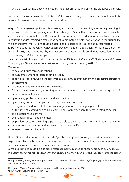this characteristic has been enhanced by the great presence and use of the digital/social media.

Considering these premises, it could be useful to consider *why* and *how* young people would be involved in learning processes and cultural activities.

Why - From a general point of view, teenager's perception of learning - especially learning in museums outside the compulsory education - changes: it's a matter of personal choice, especially if we consider young people over 16. Finding the motivations that lead young people to be engaged in education and/or training is really important to promote a greater participation in the cultural life. At a general level, motivations could be identified as social, skills-related and career-related.

To be more specific, the *NEET National Research* (UK), lead by Department for Business Innovation and Skills (BIS) and carried out by the National Institute of Adult Continuing Education (NIACE), could be very useful for this scope.

Here below a list of 14 motivations, extracted from *BIS Research Paper n. 87 Motivation and Barriers*  to Learning for Young People not in Education, Employment or Training (2013)<sup>11</sup>.

Motivations:

- to achieve future career aspirations
- to gain employment or increase employability
- to gain qualifications, which are perceived as a gateway to employment and a measure of personal development
- to develop skills, experience and knowledge
- for personal development, according to the desire to improve personal situation, progress in life or boost self-confidence
- by receiving professional support and information
- by receiving support from partners, family members and peers
- for enjoyment and interest of a particular argument or of learning in general
- by the style of learning or a relaxed learning environment, where they feel treated as adults
- as a productive use of time
- by financial support and incentives
- by previous or current learning experiences, able to develop a positive attitude towards learning
- in order to widen options and increase opportunities in life
- as an employer requirement

**How** - It is equally important to provide "youth friendly" methodologies, environments and then projects, which could be adapted to young people's needs in order to facilitate their access to culture and their active involvement in projects or programmes.

Some publications could help to trace reference points related to these topic such as *Engage 22 - The international journal of visual art and gallery education Young People Agency12*, and the Italian

<sup>11</sup> https://www.gov.uk/government/publications/motivation-and-barriers-to-learning-for-young-people-not-in-education-employment-or-training

<sup>12</sup> engage 22 Young People and Agency, published by engage, London, July 2008 http://www.engage.org journal.aspx?id=23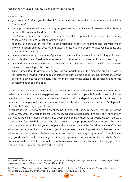research *lo non vado al museo!* (I don't go to the museum!)<sup>13</sup>.

Metodologies:

- *• good communication:* "youth- friendly" museum vs the idea of the museum as a place which is "not for me"
- *• creating connections* in line with young people's need of identification to overcome the distance between the individual and the objects exposed
- *• non-formal learning* which allows a more personalised approach to learning vs a learning conceived only on accumulation of knowledge
- *• relations and sociality* in line with youth's relational needs. Environment and activities which allow interaction, sharing, debates and discussion lead young people to discover, negotiate and construct their own sense
- *• an appropriate mix of structure and freedom:* structure is fundamental in establishing individual
- and collective goals. Freedom is an essential condition for taking charge of the own learning
- *• time and experience* with varied opportunities for participation in order to develop and increase a sense of ownership of the project
- *active participation* to give young people the appropriate role in the meaning-building process; for instance, involving young people in initiatives, such as the design of small exhibitions or the design of activities for their peers, leads to an increase of the sense of responsibility and to the development of personal skills

In the last two decades a great number of project, researches and activities have been realized in order to analyse and reduce the gap between museums and young people. It is also meaningful that recently much more museums have provided their educational departments with specific sections dedicated to young people and participation. However, the idea of an inclusive museum "with people at the centre" is an ongoing challenge.

In this scope it is useful to briefly present the positive case of Danish Museums. Main results of the "User Survey 2013"(in which more that 200 museums and cultural institutions took part) have shown that young public increased by 33% since 2009. Developing museums for young citizens is now a matter of fact for the whole sector. "The clear increase in the proportion of young users is the result of a strategic effort to involve young people at the museums, where the Danish Agency for Culture's education pools have given priority to project that are based on learning partnership between youth education and museums and between museum and teachers' learning programmes".14 Despite these very good results, youth percentage is still underrepresented in proportion to the whole Danish population (24% in 2013). This brief description shows how the involvement of young people in learning in museums still requires further efforts.

<sup>14</sup> J. T. Jensen, *Museum as mediators of cultural democracies*, published in I. Brændholt and J.T. Jensen, *Museums -Knowledge, democracy and transformation*, Danish Agency for Culture, 2014 p. 30



<sup>13</sup> A. Bollo, A. Gariboldi, *Io non vado al museo, Esplorazione del non pubblico degli adolescenti*, in Bollo A., *I pubblici dei musei. Conoscenza e Politiche*, Franco Angeli, Milano 2008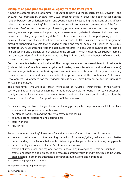# **Examples of good pratices: positive legacy from the latest years**

Among the accomplished programmes, it is useful to point out the research projects *envision15* and *enquire16.* Co-ordinated by *engage17* (UK 2002 - present), these initiatives have been focused on the relation between art galleries/museum and young people, investigating the reasons of this difficult relation and creating meaningful opportunities for teens in art museums, often outside of the formal education. *Envision* was the engage pioneering programme, aimed at stressing the concept of learning as a social process and supporting art museums and galleries to develop inclusive ways of involve vulnerable young people aged 14-21; its key feature has been to support young people to actively influence and shape cultural provision. *Enquire* (2004-2011) has been a national programme aimed at supporting projects that engaged children and young people with galleries, museums, contemporary visual arts and artists and associated research. The goal was to investigate the learning in art museums and galleries, both by analysing the process in which museums can support learning and the acquisition of skills and by fostering and highlighting the learning benefits of working with contemporary art languages and spaces.

Both the projects acted on a national level. The strong co-operation between different cultural agents (such as National Councils, museums, galleries, libraries, universities schools and local associations) and social organisation on the territory (such as pupil referral units, youth clubs, youth offending teams, social services and alternative education providers) and the Continuous Professional Development - guaranteed for the engaged professionals - have been crucial for the success of *envision* and *enquire*.

The programmes - *enquire* in particular - were based on "Clusters - Partnerships" on the national territory. In line with the Action Learning methodology, each Cluster found its "research questions", strictly related to local situation and needs. Projects and initiatives were developed to explore the "research questions" and to find possible and efficient answers.

*Envision* and *enquire* allowed the great number of young participants to improve essential skills, such as:

- working and taking decision on their own
- developing social skills and the ability to create relationships
- communicating, discussing and sharing ideas
- team-working
- risk-taking

Some of the most meaningful features of *envision* and *enquire* regard legacies, in terms of:

- greater consideration of the learning benefits of museum/gallery education and better understanding of the factors that enable this learning, with a particular attention to young people
- better visibility and opinion of youth's culture and expression
- creation of strong local and regional partnerships, also by making long-terms partnerships
- create a heritage of good practices and resources around youth-friendly practices, to be widely disseminated to other organisations, also through publications and handbooks

**10**

15 http://www.engage.org/envision.aspx

16 http://www.engage.org/enquire.aspx

17 www.engage.org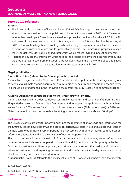#### **Europe 2020 references**

## **Targets:**

- The EU currently has a target of investing 3% of GDP in R&D. The target has succeeded in focusing attention on the need for both the public and private sectors to invest in R&D but it focuses on input rather than impact. There is a clear need to improve the conditions for private R&D in the EU and many of the measures proposed in this strategy will do this. It is also clear that by looking at R&D and innovation together we would get a broader range of expenditure which would be more relevant for business operations and for productivity drivers. The Commission proposes to keep the 3% target while developing an indicator which would reflect R&D and innovation intensity
- A target on educational attainment which tackles the problem of early school leavers by reducing the drop out rate to 10% from the current 15%, whilst increasing the share of the population aged 30-34 having completed tertiary education from 31% to at least 40% in 2020

### **Flagship Initiatives**

# **Innovation Union (related to the "smart growth" priority)**

An initiative designed in order "to re-focus R&D and innovation policy on the challenges facing our society, such as climate change, energy and resource efficiency, health and demographic change. Every link should be strengthened in the innovation chain, from 'blue sky' research to commercialisation."

# **A Digital Agenda for Europe (related to the "smart growth" priority)**

An initiative designed in order "to deliver sustainable economic and social benefits from a Digital Single Market based on fast and ultra fast internet and interoperable applications, with broadband access for all by 2013, access for all to much higher internet speeds (30 Mbps or above) by 2020, and 50% or more of European households subscribing to internet connections above 100 Mbps."

### **Background**

The *Europe 2020* "smart growth" priority underlines the relevance of knowledge and information for the future european development. In this scope researches, ICT literacy rate and a more aware use of the new technologies have a very important role, concerning with different levels: communication, information, education and also the creation of new job opportunities.

This fact is in line with the gradual shift from a production-based economy to an informationbased economy (which needs people with more holistic skills). "Action under this priority will unleash Europe's innovative capabilities, improving educational outcomes and the quality and outputs of education institutions, and exploiting the economic and societal benefits of a digital society, in terms of school leaving and research and development."<sup>18</sup>

As regards the *Europe 2020* targets, the latest evaluations of Europe 2020 impact<sup>19</sup> show that recently

<sup>18</sup> COM(2010) 2020 final

<sup>19</sup> COM(2014) 130 final ANNEXES 1-3 and COM(2015) 100 final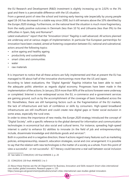the EU Research and Development (R&D) investment is slightly increasing up to 2,02% vs the 3% goal and there is a perceivable difference with the US situation.

From a general point of view the school and training early-leaving rate (especially by young people aged 18-24) has decreased in a stable way since 2000, but it still remains above the 10% identified by the *Europe 2020* strategy. Furthermore, on the national level the situation is much more fragmentary, from the really positive outcomes in Denmark (less than 10 %) and Lithuania (less than 9%) to the difficulties in Spain, Italy and Romania<sup>20</sup>.

Latest evaluations<sup>21</sup> report that the "Innovation Union" flagship is well advanced. All actions planned are underway and at various stages of implementation. In particular five European partnerships for innovation have been created, aimed at fostering cooperation between EU, national and subnational, actors around the following topics:

- active ageing and healthy ageing
- productivity and sustainability
- smart cities and communities
- water
- raw materials

It is important to notice that all these actions are fully implemented and that at present the EU has managed to fill about half of the innovative shortcomings more than the US and Japan.

According to latest evaluations, the "Digital Agenda" flagship initiative has been able to reach the adequate politic attention as regards digital economy. Progresses have been made in the implementation of the actions. In January 2014 more than 90% of the actions foreseen were underway or completed. Internet is now widespread across the EU, e-commerce and e-government services are gaining ground, such as by the accomplishment of the coverage of basic broadband across the EU. Nonetheless, there are still hampering factors such as the fragmentation of the EU markets, the lack of infrastructure and lack of confidence or skills by consumers. High-speed broadband infrastructures are still insufficient and could create new digital gaps or foster social exclusion in some areas, especially the rural ones.

In order to stress the importance of new media, the *Europe 2020* strategy introduced the concept of "Digital Society", with a specific reference to the global demand for information and communication technologies in economical but also social and cultural terms. For instance, spreading high-speed internet is useful to enhance EU abilities to innovate (in the field of job and entrepreneurship), include, disseminate knowledge and distribute goods and services<sup>22</sup>.

Both in a positive and in a negative direction, these 4 actions regard many features such as marketing policies, entrepreneurship, research, education strategies, social and civic arrangement: it is possible to say that the relation with new technologies is the matter of a society as a whole. From this point of view a successful - or not successful - ICT literacy could become a real wall between social inclusion

22 About these themes see the UK Department for Business, Innovation and Skills research *Smart cities international case studies: global innovators,* Research paper n. 135

**12**

https://www.gov.uk/government/publications/smart-cities-international-case-studies-global-innovators

<sup>20</sup> See table in COM(2014) 130 final ANNEXE 2, p. 20

<sup>21</sup> COM(2014) 130 final ANNEXES 1 to 3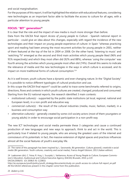and social marginalisation.

For the purposes of this report, it will be highlighted the relation with educational features, considering new technologies as an important factor able to facilitate the access to culture for all ages, with a particular attention to young people.

# **FOCUS: "BIT" generation23**

It is clear that the role and the impact of new media is much more stronger than before.

Data from the EACEA final report *Access of young people to Culture* - Spanish national report in particular - could give an idea about this changes, especially with regard the incidence of the new technologies and their impact on young people experience of culture: in Spain "whereas practicing sport and reading had been among the most recurrent activities for young people in 2001, neither of them featured at the top of the list in 2004 or 2008. On the other hand, 'listening to music' and 'watching TV' emerged as the second and third main activities which young people liked (96% and 91% respectively) and which they most often did (92% and 88%), whereas 'using the computer' was fourth among the activities which young people most often did (74%). Overall this seems to indicate the relevance of media and the new technologies in the ways in which culture is accessed, and its impact on more traditional forms of cultural consumption."<sup>24</sup>

As it is well known, youth cultures have a dynamic and ever-changing nature. In the "Digital Society" it is possible to notice different typologies of cultural production and use.

In this scope the EACEA final report*25* could be useful to trace some benchmarks referred to origins, directions, flows and contexts in which youth cultures are created, changed, produced and consumed. Starting from the EU national reports, the research identified 3 main contexts:

- *• institutional culture(s)*  supported by the public state institutions (at local, regional, national and European level), in a non-profit and educative way
- *• commercial culture(s)* the result of the cultural industries (media, music, fashion, market), in a business and consumption way
- *• alternative culture(s)* generally created by some civil society actors (most of them youngsters or young adults) in order to encourage social participation in a non-profit way

The new ICT technologies and social media permeate these 3 categories and cause a continued production of new languages and new ways to approach, think to and act in the world. This is particularly true if related to young people, who are among the greatest users of the internet and connoiseurs of its potentials: in fact, the massive extension of digital spaces and practices influences almost all the social features of youth's everyday life.

<sup>23</sup> The name of this paragraph has been inspired by L. Savonardo, *Bit generation. Culture giovanili, creatività e social media* (Bit generation. Youth cultures, creativity and social media), Franco Angeli Edizioni, 2013 (italian edition)

<sup>24</sup> Laaksonen (dir); C. Feixa; R. Huq, L. Suurpää, L. Varbanova, *Access of Young People to Culture*, European Commission's Education, Audiovisual and Culture Executive Agency (EACEA) Brussels, 2010, p.119 EACEA/2008/01 (OJ 2008/S 91-122802)

http://ec.europa.eu/youth/policy/youth\_strategy/documents/study-on-youth-access-to-culture-full-report\_en.pdf All the EACEA references present in this chapter come from this publication.

<sup>25</sup> *ibidem* p.116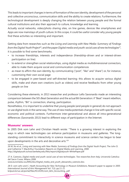This leads to important changes in terms of formation of the own identity, development of the personal and collective unconscious, communication skills and the ability to create relations. Furthermore, the technological development is deeply changing the relation between young people and the formal cultural institutions and also their approach to culture, knowledge and learning.

Actually social networks, video/photo sharing sites, on line games, devices like smartphones and Apps are now mainstays of youth culture. In this scope, it could be useful consider why young people find these activities so interesting and important.

Getting data from researches such as the *Living and Learning with New Media: Summary of Findings from the Digital Youth Project26*, and the paper *Digital media and youth: social uses of new technologies27,*  it is possible to find some benchmarks.

- to increase friendships, interests and independence (friendship-driven and or interest-driven participation on line)
- to extend or strengthen social relationships, using digital media as multidimensional connectors, able to make them acquire social and communication competences
- as mean to affirm the own identity, by communicating ("post", "like" and "share") or, for instance, customizing their own social page
- to be engaged in peer-based and self-directed learning: this allows to acquire various digital skills, make and share own creations (such as videos) and receive feedbacks from other young people on line

Considering these elements, in 2013 researcher and professor Lello Savonardo made an interesting comparison between the 50's Beat Generation and the actual Bit Generation: if "Beat" meant rebellion, pulse, rhythm, "Bit" is connection, sharing, participation.

Nonetheless, it is important to underline that young people (and people in general) do not approach or use digital tools in the same way. The use of new media potentials change in line with specific social, economic and political contexts. Furthermore inter-generational and above all intra-generational differences (Savonardo 2013) lead to different ways of participation in the Internet.

### **Museums' answers**

In 2005 Dirk vom Lehn and Christian Heath wrote: "There is a growing interest in exploring the ways in which new technologies can enhance participation in museums and galleries. The longstanding commitment to interactivity in science museums and science centers has begun to bear upon developments in the arts and decorative arts."<sup>28</sup>

<sup>26</sup> M. Ito et al., *Living and Learning with New Media: Summary of Findings from the Digital Youth Project,* The John D. and Catherine T. MacArthur Foundation Reports on Digital Media and Learning, 2008 http://digitalyouth.ischool.berkeley.edu/files/report/digitalyouth-WhitePaper.pdf

<sup>27</sup> A. Carenzio, *Digital media and youth: social uses of new technologies. Two researches from Italy,* Università Cattolica del Sacro Cuore, Milano 2008

www.euromeduc.eu/IMG/doc/Digital\_media\_and\_youth\_alessandra\_carenzio.doc.

<sup>28</sup> D. vom Lehn and C. Heath *Accounting for New Technology in Museum Exhibitions*, Research paper to appear in 2005 *International Journal of Arts Management* Vol. 7(3): pp.11-21 kclpure.kcl.ac.uk/portal/files/9114195/vom\_lehn\_Accounting\_.pdf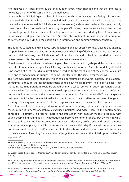After ten years, it is possible to say that the situation is very much changed and that the "interest" is nowadays a matter of discussion and a claimed need.

In line with the "Digital Agenda" flagship initiative, much more museums are facing this item and trying to find solutions able to make them find their "place" in the cyberspace, with the aim to make their heritage more accessible (digitalisation and e-learning) and to attract wider audiences, especially those more difficult to reach, such as young people. Of course, these issues are important factors that could promote the acquisition of the key competences recommended by the EU Commission, in particular the digital competence which "involves the confident and critical use of information society technology (IST) and thus basic skills in information and communication technology (ICT)<sup>"29</sup>.

The adopted strategies and initiatives vary, depending on each specific context. Despite this diversity it is possible to find some points in common such as the building of dedicated web site, the presence on the social networks, the digitalisation of cultural heritage and collections, the design of more interactive exhibits, the newest researches on audience development.

Nonetheless, in the latest years it is becoming much more important to go beyond the basic solutions and reflect on a more conceptual level. Having a web site is important (and also updating it), but it is no more sufficient. The "digital revolution" is leading to the redefinition of the concept of culture itself and of engagement in culture. The same is for learning. The same is for museums.

This item makes rise a series of doubts, which could be resumed in the words "curiosity" and "caution". Sometimes, although the acknowledgement of the new media relevant role, a certain fear that museums' learning potentials could be eroded by the so called "software society" (Savonardo 2013) is perceivable. This ambiguous attitude is well represented in recent debates aimed at reflecting on the ambiguous nature of the Internet, seen as a great tool for our brain-skills<sup>30</sup> or a dangerous instrument which affects our individual autonomy, in terms of lack of attention and loss of long-term memory<sup>31</sup>. In every case, museums' role and responsibility do not decrease, on the contrary.

As cultural institutions, learning, education and awareness-raising still remain key goals for any museum, but it is necessary rethink established practices and adapt them to the contemporary concept of "platform", in order to improve the interaction with museum visitors, especially with young people and young adults. "Knowledge has become common property, but the way in which knowledge is converted into meaningful experiences, education, professional and social memories is an open marketplace, in which the museums can have a field day if they will break with their norms and tradition bound-self image (...) Within the schools and education area, it is important to have a variety of learning forms and to challenge the analogue and the digital opportunities for expression."<sup>32</sup>

**15**

32 B. Skaarup, *The natural history museum as knowledge centre and learning environment*, in I. Brændholt and J.T. Jensen, *Museums - Knowledge, democracy and transformation*, Danish Agency for Culture, 2014, p. 106

<sup>29 (2006/962/</sup>EC) Recommendation of the European Parliament and of the Council of 18 December 2006 on key competences for lifelong learning eur-lex.europa.eu/legal-content/EN/TXT/PDF/?uri=CELEX:32006H0962&from=EN

<sup>30</sup> About these themes see H. Rheingold, *Perchè la Rete ci rende intelligenti*, Raffaello Cortina editore, 2013 (italian edition)

<sup>31</sup> K. Bjerg, *Digitalisation is killing the autonomous individual*, Weekendavisen, 28 March 2014, quoted in I. Brændholt and J.T. Jensen, *Museums - Knowledge, democracy and transformation*, Danish Agency for Culture, 2014, p. 53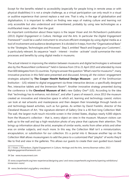Except for the benefits related to accessibility (especially for people living in remote areas or with physical disabilities) it is not a simple challenge, as a virtual participation can only result in a visual or auditive experience that cannot replace a real one. That is why, in the age of globalisation and digitalisation, it is important to reflect on finding new ways of making culture and learning not only accessible but also understood and remembered, probably by using new technologies as a multifaceted mean, rather than the goal.

An important contribution about these topics is the Jasper Visser and Jim Richardson's publication (2013) *Digital Engagement in Culture, Heritage and the Arts*. In particular the *Digital Engagement Framework*33 could be a useful instrument to structure efficient strategies by using digital media as a tool of involvement and audience development. It is divided in 4 steps, from the "Organisational Basis" to the "Strategies, Technologies and Processes". Step 3, entitled "Reach and Engage your Customers", is particularly relevant. Its sequence "reach - interest - involve - activate" could summarize the main processes and benefits by using digital media in museums.

The actual interest in improving the relation between museums and digital technologies is witnessed also by the *MuseumNext* conference<sup>34</sup> held in Geneva from 19 to 21 April 2015 and attended by more than 600 delegates from 31 countries. Trying to answer the question "What's next for museums?", many innovative practices in this field were presented and discussed. Among all: the visitors' engagement strategies adopted by **The Cooper Hewitt National Design Museum** - part of the Smithsonian Institution - (US) related to digital engagement via three interactive devices: a specifically designed Pen, interactive tablets and the Immersion Room<sup>35</sup>. Another innovative strategy presented during the conference is the **Cleveland Museum of Art**'s new *Gallery One*36 (US). According to the idea that "technology has to enhance, not distract", and after 5 years of research, since 2013 the museum created an innovative and interactive space in which art, learning and technology coexist; visitors can look at real artworks and masterpieces and then deepen their knowledge through hands-on and technology-based activities, such as fun games. As written by David Franklin, director of the Cleveland Museum of Art, "the signature element of Gallery One is a 40-foot long Collection Wall. The wall, the largest multi-touch microtile screen in the United States, displays nearly 4,000 objects from the Museum's collection - that is, every object on view in the museum. Museum visitors can walk up to the wall and tap a high-resolution photo of any piece that captures their attention. This brings up information about the artist, examples of similar works, works from other artists and other eras on similar subjects, and much more. In this way, the Collection Wall isn't a miniaturization, encapsulation, or substitution for our collection. It's a portal into it. Because another tap on the Collection Wall allows museumgoers to add the piece to a customized iPad "playlist" of works they'd like to find and view in the galleries. This allows our guests to create their own guided tours based

<sup>33</sup> J. Visser, J. Richardson, *Digital Engagement in Culture, Heritage and the Arts,* Jemma Bowman editor, 2013 digitalengagementframework.com

<sup>34</sup> See www.museumnext.com

<sup>35</sup> www.cooperhewitt.org/new-experience/designing-pen/ and www.cooperhewitt.org/events/opening-exhibitions/ immersion-room/

<sup>36</sup> www.clevelandart.org/gallery-one/about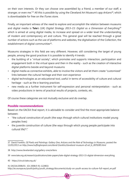on their own interests. Or they can choose one assembled by a friend, a member of our staff, a stranger, or even me."37 All this is possible by using the Cleveland Art Museum's app *ArtLens*38, which is downloadable for free on the iTunes store.

Finally, an important witness of the need to explore and accomplish the relation between museums and digital media is **Tate**'s (UK) *Digital Strategy 2013–15: Digital as a Dimension of Everything39* which is aimed at using digital media, to increase and spread on a wider level the understanding of modern and contemporary art and culture. This general goal will be reached through a great number of actions such as the use of platforms and websites, the digitalisation of the Collection, the establishment of digital communities<sup>40</sup>.

Museums strategies in this field are very different. However, still considering the target of young people, among the good practices it is possible to identify 4 trends:

- the building of a "virtual society", which promotes and supports interaction, participation and engagement both in the virtual space and then in the reality - such as the creation of interactive digital platforms beside and beyond museums
- digital media as connective exhibits, able to involve the visitors and let them create "customized" links between the cultural heritage and their own experience
- digital technologies as an educational tool, useful in terms of accessibility of culture and cultural heritage - such as the e-learning practices
- new media as a further instrument for self-expression and personal reinterpretation such as video productions in terms of practical results of projects, contests, etc.

Of course these categories are not mutually exclusive and do overlap.

# **Possible recommendations**

Based on the EACEA final report, it is advisable to consider and find the most appropriate balance between:

- "the cultural construction of youth (the ways through which cultural institutions model young peoples lives)
- the juvenile construction of culture (the ways through which young people participate into cultural life)<sup>41</sup>."

40 https://circuit.tate.org.uk/

41 EACEA/2008/01 (OJ 2008/S 91-122802) http://ec.europa.eu/youth/policy/youth\_strategy/documents/study-on-youth-access-to-culture-full-report\_en.pdf

<sup>37</sup> David Franklin, *Of Pixels and Paintings: Gallery One, ArtLens and the Role of Technology in Museums,* posted the 13/03/2013 *on http://www.huffingtonpost.com/david-franklin/cleveland-museum-of-art\_b\_2870285.html* 

<sup>38</sup> http://www.clevelandart.org/gallery-one/artlens

<sup>39</sup> www.tate.org.uk/research/publications/tate-papers/tate-digital-strategy-2013-15-digital-dimension-everything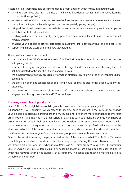According to all these data, it is possible to define 5 main goals on which Museums should focus:

- thinking themselves also as "multimedia enhanced knowledge centres and alternative learning spaces" (B. Skaarup, 2014)
- innovating in the visitors' connection to the collection from contents generator to connector between the cultural heritage, the knowledge and the users (especially young people)
- using all the virtual spaces such as websites or social networks in a more dynamic way, as places for debate, reflect and spread ideas
- reaching wider audiences, especially young people who are more difficult to reach or who can not reach museums
- enabling young people to actively participate in museums' "life" both on a virtual and on a real level
- supporting a more aware use of the new technologies.

These goals can be reached through:

- the consideration of the Internet as a useful "pool" of instruments to establish a continuous dialogue with young people
- an efficient policy and a greater investment in the digital and new media field, choosing the best solutions related to the specific situation and resources
- the development of socially accessible information strategies by following the ever-changing digital evolutions
- the provision of on-line services for people living in rural or isolated areas or for people with physical disabilities
- the professional development of museum staff competences relating to youth learning and engagement through new media and ICT technologies.

# **Inspiring examples of good practice**

Since 2008 the **Stedelijk Museum** (NL) gives the possibility to young people aged 15-19 to become "Blikopeners" (Eye Openers)<sup>42</sup>, which means to become peer educators in the museum to engage young people in dialogues around art and museums, and give them more confidence to interpret art. Blikopeners are involved in a great variety of activities such as organizing events, workshops or programmes for people their own age, inside and outside the museum. Moreover, Together with museum educators, they give lessons to students in both academic and professional areas about the video art collection. Blikopeners have diverse backgrounds, also in terms of study, and come from the Greater Amsterdam region. Every year a new group takes over with new candidates.

One of the most interesting projects carried on by Blikopeners is What The Art?!, a TV series completely edited, directed and presented by young people. During the series Blikopeners visit a well-known artist/designer in his/her studio. *What The Art?!* aired from 24 August to 14 September 2013 in Avro's Kunstuur. Suitable visual arts teaching materials are developed for each edition, in which the featured artist gives students an assignment. The series and teaching materials are also available online for free.

<sup>42</sup> http://www.stedelijk.nl/en/education/youth/blikopeners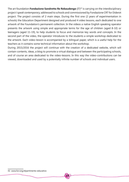The art foundation **Fondazione Sandretto Re Rebaudengo** (IT)<sup>43</sup> is carrying on the interdisciplinary project *I speak contemporary,* addressed to schools and commissioned by Fondazione CRT for Diderot project. The project consists of 2 main steps. During the first one (2 years of experimentation in schools) the Education Department designed and produced 4 video lessons, each dedicated to one artwork of the Foundation's permanent collection. In the videos a native English speaking operator presents the artwork using simple and appropriate terms for the age of children (aged 8-10) or teenagers (aged 11-19), to help students to focus and memorize key words and concepts. In the second part of the video, the operator introduces to the students a simple workshop dedicated to the artwork. Each video-lesson is accompanied by a bilingual paper, which is a useful help for the teachers as it contains some technical information about the workshop.

During 2015/2016 the project will continue with the creation of a dedicated website, which will contain contents, ideas, a blog to promote a virtual dialogue and between the participating schools, and of course an area dedicated to the video-lessons. In this way the video-contributions can be viewed, downloaded and used by a potentially infinite number of schools and individual users.

<sup>43</sup> www.fsrr.org/dipartimento-educativo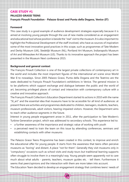# **CASE STUDY #1 PALAZZO GRASSI TEENS François Pinault Foundation - Palazzo Grassi and Punta della Dogana, Venice (IT)**

#### **Foreword**

This case study is a good example of audience development strategies especially because it is aimed at involving young people through the use of new media considered as an engagement and educational tool whose position is beside the "real" visit to the museum. It is also important to highlight the Professional Development of the staff involved, who have as sources of inspiration some of the most innovative good practices in this scope, such as programmes of Tate Modern and Derby Museum (UK), Stedelijk Museum (NL), Portland Art Museum, Indianapolis Museum of Art and Milwaukee Art Museum (US). Thanks to its innovative approach the project has been presented in the Museum Next conference 2015.

#### **Background and general context**

The François Pinault Collection is one of the largest private collections of contemporary art in the world and includes the most important figures of the international art scene since World War II to nowadays. Since 2005 Palazzo Grassi, Punta della Dogana and the Teatrino are the seats dedicated to François Pinault Foundation's exhibitions in Venice. The general mission is to be platforms which support exchange and dialogue between the public and the world of art, becoming privileged places of contact and interaction with contemporary culture with a creative and innovative approach.

The François Pinault Collection's Education Department started its actions in 2010 with the name "St\_art" and the essential idea that museums have to be accessible for all kind of audiences: at present there are activities and programmes dedicated to children, teenagers, students, teachers, museum professionals, adult visitors, hearing-impaired visitors. However, the Department aims to reach other audience segments in the future.

Interest in young people engagement arose in 2011, after the participation to Tate Modern's Turbine Generation project, which was addressed to secondary schools. This experience led to:

- a further awareness of the importance and strategic value of working with youth
- a perceived need to train the team on this issue by attending conferences, seminars and establishing contacts with other museums

The Palazzo Grassi Teens Programme has been created in this context, to improve and enrich the educational offer for young people. It starts from the awareness that teens often perceive museums as "boring" and distant. A place "not for them". Generally they visit museums only in "compulsory" occasions such as school visits and study-tours but traditional learning supports often struggle to involve them in a meaningful way. Young people seem apparently not to care much about what adults - parents, teachers, museum guides etc. - tell them. Furthermore it seems that peers'opinions and the interaction with them are more taken into account. The Education Team decided to develop an engagement strategy that combines teens' needs of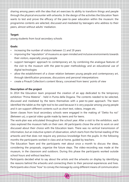sharing among peers with the idea that art exercises its ability to transform things and people through the physical encounter with artworks. In the design of the activities the Education Team wants to test and prove the efficacy of the peer-to-peer education within the museum: the programme contents are selected, discussed and mediated by teenagers who address to their peers, almost without adults' mediation.

#### **Target:**

young students from local secondary schools

#### **Goals:**

- increasing the number of visitors between 11 and 19 years
- improving the "reputation" of museums as open minded and inclusive environments towards their visitors, especially young people
- support teenagers' approach to contemporary art, by combining the analogue features of the visit to the museum with the peer-to-peer methodology and an educational use of digital technologies
- allow the establishment of a closer relation between young people and contemporary art, through identification processes, discussions and personal interpretations
- create a Pinault Collection's content library, conceived from teens' points of view

### **Description of the project**

In 2014 the Education team proposed the creation of an app dedicated to the temporary exhibition "Prima Materia" - held in Punta della Dogana. The contents needed to be selected, discussed and mediated by the teens themselves with a peer-to-peer approach. The team identified the tablet as the right tool to be used because it is very popular among young people and it can support different contents such as short text, videos, images etc.

Seven classes from local secondary schools were engaged in the making of "Detto fra noi" (Between us), a special video-guide made by teens and for teens.

The work-plan was articulated throughout the school year. After a visit to the exhibition, each class explored the museum halls on their own. All participants chose the artist to work on and discussed about their choice with the Education team. There was no vertical transmission of information, but an inductive system of observation, which starts from the formal reading of the artworks and that does not require any previous knowledge from the puplis. In the following months the participants worked in class and at home, guided by teachers.

The Education Team and the participants met about once a month to discuss the ideas, considering the proposals, organize the future steps. The video-recording was made at the museum, in the classroom and outdoors. During this phase the participants worked outside school hours and without teachers.

Participants decided what to say about the artists and the artworks on display by identifying the reasons behind the artworks and connecting them to their personal experiences and lives. Participants also chose "how" to convey the message by using different means of communication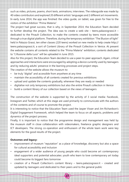such as video, pictures, poems, short texts, animations, interviews. The videoguide was made by 40 video contributors and explored 20 different artists' languages and 2 different art movements. In early June 2014, the app was finished: the video guide, on tablet, was given for free to the visitors of the exhibition "Prima Materia".

The project had great success, that is why, in September 2014, the Education Team decided to further develop the project. The idea was to create a web site – teens.palazzograssi.it – dedicated to the Pinault Collection, to make the contents created by teens more accessible through a true digital platform. Therefore, during the temporary exhibition "The Illusion of light" held in Palazzo Grassi, ten other classes (220 teens) worked on new media to help create http:// teens.palazzograssi.it, a sort of Content Library of the Pinault Collection in Venice. At present the website contains all contents related to the "Prima Materia" exhibition; contents dedicated to "L'illusione della Luce" will be uploaded in June 2015.

Also for this project, the Education Team decided to use a peer-to-peer approach. Again, critical approaches and interactions were encouraged by adopting a device currently used by teenagers and by reducing adults' presence in the learning processes and project steps. The creation of the website allows the museum to:

- be truly "digital" and accessible from anywhere at any time
- maintain the accessibility of all contents created for previous exhibitions
- upload and update the contents gradually, whenever they are ready or needed
- digitalise not only temporary exhibitions but also the entire Pinault collection in Venice
- build a content library of our collection based on the views of teenagers

The construction of the website is supported by the activity of 3 social media: Facebook, Instagram and Twitter, which at this stage are used primarily to communicate with the authors of the contents and of course to promote the project.

It is interesting to notice that the Education Team used the Jasper Visser and Jim Richardson's Digital Engagement Framework, which helped the team to focus on all aspects, problems and dynamics of the project process.

Finally, it is important to notice that the programme design and management was held by the museum staff in close collaboration with videomakers, freelance graphic designers and ICT developers. The strong co-operation and enthusiasm of the whole team work were key elements for the good results of the project.

### **Outcomes and legacy:**

- improvement of museum "reputation" as a place of knowledge, discovery but also a space for cultural accessibility and inclusion
- engagement of a wider audience of young people who could become art contemporary ideal supporters and potential advocates: youth who learn to love contemporary art today could become its biggest fans tomorrow
- creation of a Pinault Collection's content library teens.palazzograssi.it created and updated by teenagers and dedicated to their peers and to the general public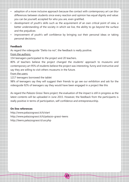- adoption of a more inclusive approach because the contact with contemporary art can blur differences between students since every reaction and opinion has equal dignity and value: you can be yourself, accepted for who you are, even gratified.
- development of youth's skills such as the acquirement of an own critical point of view, a better understanding of the society in which we live, the ability to go beyond the surface and the prejudices
- improvement of youth's self confidence by bringing out their personal ideas or taking personal decisions.

### **Feedback**

As regard the videoguide "Detto tra noi", the feedback is really positive.

From the authors:

154 teenagers participated to the project and 20 teachers.

80% of teachers believe the project changed the students' approach to museums and contemporary art 95% of students believe the project was interesting, funny and instructive and say they are willing to visit others museums in the future.

- From the users:
- 1217 teenagers borrowed the tablet

98% of teenagers say they will suggest their friends to go see our exhibition and ask for the videoguide 92% of teenagers say they would have been engaged in a project like this

As regard the *Palazzo Grassi Teens project*, the evaluation of the impact is still in progress as the latest contents will be uploaded in June 2015. However, the feedback from the participants is really positive in terms of participation, self confidence and entrepreneurship.

**23**

# **On line references**

http://www.palazzograssi.it/it/start http://www.palazzograssi.it/it/palazzo-grassi-teens http://teens.palazzograssi.it/usr.php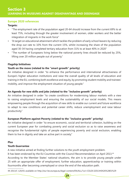## **Europe 2020 references**

# **Targets:**

- "The employment rate of the population aged 20-64 should increase from the current 69% to at least 75%, including through the greater involvement of women, older workers and the better integration of migrants in the work force"
- "A target on educational attainment which tackles the problem of early school leavers by reducing the drop out rate to 10% from the current 15%, whilst increasing the share of the population aged 30-34 having completed tertiary education from 31% to at least 40% in 2020"
- "The number of Europeans living below the national poverty lines should be reduced by 25%, lifting over 20 million people out of poverty."

# **Flagship Initiatives**

# **Youth on the move (related to the "smart growth" priority)**

An initiative designed in order "to enhance the performance and international attractiveness of Europe's higher education institutions and raise the overall quality of all levels of education and training in the EU, combining both excellence and equity, by promoting student mobility and trainees' mobility, and improve the employment situation of young people."

# **An Agenda for new skills and jobs (related to the "inclusive growth" priority)**

An initiative designed in order "to create conditions for modernising labour markets with a view to raising employment levels and ensuring the sustainability of our social models. This means empowering people through the acquisition of new skills to enable our current and future workforce to adapt to new conditions and potential career shifts, reduce unemployment and raise labour productivity."

# **European Platform against Poverty (related to the "inclusive growth" priority)**

An initiative designed in order "to ensure economic, social and territorial cohesion, building on the current European year for combating poverty and social exclusion so as to raise awareness and recognise the fundamental rights of people experiencing poverty and social exclusion, enabling them to live in dignity and take an active part in society."

### **Plus**

# **Youth Guarrantee**

A new initiative aimed at finding further solutions to the youth employment problem.

It has been endorsed by the EU Countries with the Council Recommendation on April 2013.<sup>44</sup>

According to the Member States' national situations, the aim is to provide young people under 25 with an appropriate offer of employment, further education, apprenticeship or training within fourmonths after becoming unemployed or since the end of the education path.

**24**

44 2013/C 120/01 available on http://eur-lex.europa.eu/legal-content/EN/ALL/?uri=CELEX:32013H0426%2801%29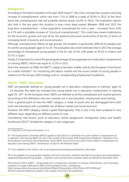# **Background**

According to the latest evaluation of *Europe 2020* impact<sup>45</sup>, the crisis in Europe has caused a worrying increase of unemployment, which rose from 7.1% in 2008 to a peak of 10.9% in 2013. In the short terms the unemployment rate will probably decline slowly (10.4% in 2015). The evaluation reports also that in the last years the situation is even more deep-seated. Between 2008 and 2012 the long-term unemployment – active population unemployed for over a year – increased from 2.6% to 4.7% with a probable increase of "structural unemployment". This could have severe implications for the economic growth and over all for the political and social construction of the EU, in terms of increasing levels of poverty and social exclusion.

Although unemployment affects all age groups, the situation is particularly difficult for people over 55 and for young people aged 15 to 24. The evaluation document indicates that in 2013 the average percentage of unemployed young people in the EU was 23.3%, with peaks at 59.2% in Greece and 55.7% in Spain.

Finally, it's important to notice the growing percentage of young people not in education, employment or training (NEET), which was equal to 13.2% in 2012.

Since the recession of 2008, the NEET<sup>46</sup> category has been widely used by the European Commission as a useful indicator<sup>47</sup> for monitoring the labour market and the social context of young people in reference to the *Europe 2020* strategy and its corresponding Employment Guidelines.

# **FOCUS: "NEET" Generation**

NEET are generally defined as "young people not in education, employment or training" aged 15 – 24. Recently this label has included also young adults not in education, employment or training aged 25 -29<sup>48</sup>. At the European level, NEETs are defined as all the unemployed and inactive persons (according to ILO definition) who are currently not in any education, employment and training.

From a general point of view the NEET category is made of youth who are disengaged from both work and education with a probable risk of labour market and social exclusion.

However, the NEET category shows a great heterogeneity. That is why it has been analysed in very different ways, depending on different points of view.

Considering risks-factors (such as education, family background, immigration status and health) Eurofound  $(2012)^{49}$  divided the category in two subgroups:

47 To be updated on this theme, visit ec.europa.eu/eurostat/web/youth/statistics-illustrated

48 To be updated on young people migration and socio-economic situation see http://ec.europa.eu/eurostat/statisticsexplained/index.php/Young\_people\_-\_migration\_and\_socioeconomic\_situation (data are referred to December 2014)

49 Eurofound (2012), *NEETs – Young people not in employment, education or training: Characteristics, costs and policy responses in Europe*, Publications Office of the European Union, Luxembourg http://www.eurofound.europa.eu/sites/default/files/ef\_files/pubdocs/2012/54/en/1/EF1254EN.pdf All the Eurofound references present in this chapter come from this publication.



<sup>45</sup> COM(2014) 130 final and Annexes 1-2-3

<sup>46 &</sup>quot;The Employment Committee (EMCO) agreed in April 2010 on a definition for youth neither in employment nor in education and training (NEET) for use in the context of the Europe 2020 Employment Guidelines." Quotation from the European Commission DG Employment, Social Affairs and Inclusion document Youth neither in employment nor education and training (NEET). Presentation of data for the Member States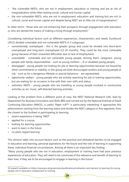- "the vulnerable NEETs, who are not in employment, education or training and are at risk of marginalisation while often lacking social, cultural and human capital.
- the non-vulnerable NEETs, who are not in employment, education and training but are rich in cultural, social and human capital and despite being NEET are at little risk of marginalisation."

In other terms: "those who are not enhancing their prospects through engagement with education or who are denied the means of making a living through employment."

Considering individual factors such as different experiences, characteristics and needs, Eurofound (2012) divided vulnerable and not vulnerable NEETs in 5 subgroups:

- *• conventionally unemployed* this is the greater group and could be divided into short-term unemployed and long-term unemployed (12-24 months). They could be the most vulnerable group because of their unwanted difficulties due to lack of employment;
- *• unavailable*  vulnerable and not vulnerable young people. Among them: caregivers, young people with family responsibilities - such as young mothers -, ill or disabled young people;
- *• disengaged* young people not looking for job or learning opportunities because not bound by other commitments or inability; in this group are both discouraged workers and young people at risk - such as for a dangerous lifestyle or asocial behaviour - are represented;
- *• opportunity-seekers* young people who are actively searching for job or training opportunities, but are waiting for an occasion in line with their own skills and status;
- *• voluntary NEETs* young people who are travelling or young people involved in constructive activities as art, music, self-directed learning activities.

Looking at the problem from a different point of view, the *NEET National Research* (UK), lead by Department for Business Innovation and Skills (BIS) and carried out by the National Institute of Adult Continuing Education (NIACE), is useful. *Paper n.87*50: is particularly interesting: it approaches this phenomenon starting from the learning status and divides the NEET category in five segments, from the closest to the furthest in participating to learning:

- recent experience in being 'NEET'
- applied for a course
- looking for learning opportunities
- want to learn in the future
- no plans regard learning

This division takes into account factors such as the practical and attitudinal barriers to be engaged in education and learning, personal aspirations for the future and the role of learning in supporting these, individual financial circumstances. Among all there is an important key finding:

"Many young people who are not in education, employment or training have had poor previous experiences of education. They will need to be convinced of the relevance and benefit of learning to their lives, if they are to be encouraged to engage in learning in the future."

<sup>50</sup> research available on https://www.gov.uk/government/publications/motivation-and-barriers-to-learning-for-youngpeople-not-in-education-employment-or-training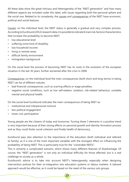All these data show the great intricacy and heterogeneity of the "NEET generation" and how many different aspects are included under this label, with issues regarding both the personal sphere and the social one. Related to its complexity, the causes and consequences of the NEET have economic, political and social features.

Causes: on the individual level, the NEET status is generally a gradual and very complex process. According to Eurofound (2012) research data, it is possible to indicate 6 main risk-factors/characteristics that increase the probability to become NEET:

- low educational level
- suffering some kind of disability
- low household income
- living in remote areas
- difficult family environment
- immigration background

On the social level the process of becoming NEET has its roots in the evolution of the european situation in the last 30 years, further worsened after the crisis in 2008.

Consequences: on the individual level the main consequences (both short and long-terms) in being NEET can be of different natures:

- bad financial consequences, such as scarring effects or wage penalties,
- negative social conditions, such as low self-esteem, isolation, risk-related behaviour, unstable mental and physical health.

On the social level Eurofound indicates the main consequences of being NEET as:

- institutional and interpersonal mistrust
- less political engagement
- lower civic participation

Young people are the citizens of today and tomorrow. Turning these 3 elements in a positive trend is very important because of their strong effects on personal growth and identity-formation process and as they could foster social cohesion and finally health of democracy.

Eurofound pays also attention to the importance of the education (both individual and referred to family), as it is one of the most important variables with the strongest effect on influencing the probability of being NEET. This is particularly true for the "vulnerable NEETs".

This is certainly a complicated scenario, which shows many different features of disadvantage. Of course, the "NEET generation" is not only an individual difficulty for those affected, but is a real challenge to society as a whole.

Eurofound's advice is to take into account NEET's heterogeneity, especially when designing intervention policies for their re-integration into education systems or labour markets. A tailored approach would be effective, as it could be based on the need of the various sub-groups.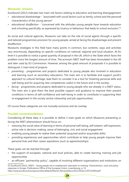# **Museums' answers**

Eurofound (2012) indicates two main risk factors relating to education and learning disengagement:

- *• educational disadvantage* "associated with social factors such as family, school and the personal characteristics of the young person"
- *• educational disaffection* "concerned with the attitudes young people have towards education and schooling specifically, as expressed by truancy or behaviour that leads to school exclusion."<sup>51</sup>

As social and cultural agencies, Museums can take on the role of social agents through a specific and tailored programmes provision for young people, aimed at facing the disadvantage and prevent disaffection.

Museums strategies in this field have many points in common, but contents, ways and activities vary enormously, depending on specific conditions on national, regional and local situation. At EU level it is possible to notice a great quantity of proposal in the UK, which is the State which faces the problem since the longest amount of time. The acronym NEET itself has been formulated in the UK and later used by EU Commission. However, among the great amount of proposals it is possible to distinguish 2 main kind of projects:

- *• preventing* programmes and projects dedicated to young people also involved in education and learning (such as secondary education). The main aim is to facilitate and support youth's approach to cultural heritage, lead them to consider it as a tool for fostering personal skills and well-being and for acquiring new competences useful in the future and in the society;
- *• facing* programmes and projects dedicated to young people who are already in a NEET status. The main aim is give them the best possible support and guidance to improve their present conditions in terms of self-confidence and well-being in order to contribute in supporting their re-engagement in the society (active citizenship and job opportunities).

Of course these categories are not mutually exclusive and do overlap.

# **Possible recommendations**

Considering all these data, it is possible to define 3 main goals on which Museums preventing or facing the NEET phenomenon should focus on:

- stressing the social value of learning in terms of personal well-being, self-esteem, self-expression, active role in decision-making, sense of belonging, civic and social engagement
- enabling young people to realise their potential (acquired and/or acquirable skills)
- providing experiences and opportunities which contribute to help young people improve their personal lives and their career aspirations (such as apprenticeships)

These goals can be reached through:

- the support of european, national and local policies, able to create learning, training and job opportunities
- an efficient "partnership policy", capable of involving different organisations and institutions on

**28**

51 Eurofound (2012), *NEETs – Young people not in employment, education or training: Characteristics, costs and policy responses in Europe*, Publications Office of the European Union, Luxembourg, p. 53 http://www.eurofound.europa.eu/sites/default/files/ef\_files/pubdocs/2012/54/en/1/EF1254EN.pdf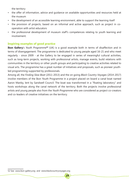the territory

- the offer of information, advice and guidance on available opportunities and resources held at the museum
- the development of an accessible learning environment, able to support the learning itself
- the provision of projects, based on an informal and active approach, such as project in cooperation with artist educators
- the professional development of museum staff's competences relating to youth learning and involvement.

# **Inspiring examples of good practice**

**Ikon Gallery**'s *Youth Programme***52** (UK) is a good example both in terms of disaffection and in terms of disengagement. The programme is dedicated to young people aged 16-21 and who meet regularly - since 2009 - at the Gallery to be engaged in series of meaningful cultural activities, such as long-term projects, working with professional artists, manage events, build relations with communities in the territory or other youth groups and participating to creative activities related to visual arts. The programme has a great number of initiatives and proposals, such as pioneer youthled programming supported by professionals.

Among all, the *Finding Slow Boat* (2011-2013) and the on going *Black Country Voyages* (2014-2017) involve members of the Ikon Youth Programme in a project placed on board a canal boat named Aaron Manby, lent by Sandwell Council. The boat was transformed in a "floating laboratory" and hosts workshops along the canal network of the territory. Both the projects involve professional artists and young people also from the *Youth Programme* who are considered as project co-creators and co-leaders of creative initiatives on the territory.

<sup>52</sup> See www.ikon-gallery.org and www.blackcountryvoyages.org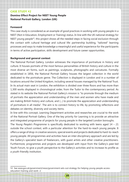#### **CASE STUDY #2**

# **Domino Effect Project for NEET Young People National Portrait Gallery, London (UK)**

#### **Foreword**

This case study is considered as an example of good practices in working with young people in a NEET (Not in Education, Employment or Training) status. In line with the UK national strategy for NEET young people<sup>53</sup>, this project shows all the needed steps in facing social exclusion through the contact with cultural heritage and cultural life: partnership building, "tailored" learning processes and ways to make knowledge a meaningful and useful experience for the participants in terms of active participation, skills development and future career opportunities.

#### **Background and general context**

The National Portrait Gallery, London witnesses the importance of portraiture in history and culture. It houses portraits of the most famous personalities of British history and culture in the most diverse art forms, such as paintings, sculptures, photographs and caricatures. Formally established in 1856, the National Portrait Gallery houses the largest collection in the world dedicated to the portraiture genre. The Collection is displayed in London and in a number of locations around the United Kingdom, including several houses managed by the National Trust. In its actual main seat in London, the exhibition is divided over three floors and has more than 1,300 works displayed in chronological order, from the Tudor to the contemporary period. As stated in its website the National Portrait Gallery's mission is "to promote through the medium of portraits the appreciation and understanding of the men and women who have made and are making British history and culture, and (...) to promote the appreciation and understanding of portraiture in all media". The aim is to connect history to life, by promoting reflections and debates on identity, diversity and society items.

In line with this concept, Learning Department activities and researches are crucial to the work of the National Portrait Gallery. One of the key priority for Learning is to provide an attractive and integrated programme of projects for young people in the targeted London boroughs.

The *Young People's Programme* is specifically dedicated to working with teens aged 14 – 21 outside the school context, with a particular attention for the hard-to-reach young people. It offers a range of drop-in creative sessions, special events and projects dedicated to hard-to-reach young people. All programmes and activities have an inter-disciplinary approach and are led by the Gallery's specialist team of freelancers, with guest artists and other creative practitioners. Furthermore, programmes and projects are developed with input from the Gallery's peer-led Youth Forum, to give a youth perspective to the Gallery's activities and to increase its profile as a youth-friendly institution.

<sup>53</sup> See www.gov.uk/government/news/government-sets-out-strategy-for-helping-young-people-accesseducation-training-and-work--2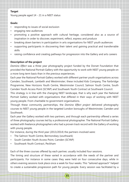#### **Target**

Young people aged 14 - 21 in a NEET status

### **Goals:**

- responding to issues of social exclusion
- engaging new audiences
- promoting a positive approach with cultural heritage, considered also as a source of inspiration in order to discover, experiment, reflect, express and produce
- breaking down barriers in participation in arts organisations for NEET youth audiences
- supporting participants in discovering their talent and gaining practical and transferrable skills
- raising confidence and creating pathways for progression into the Gallery and arts careers

# **Description of the project**

*Domino Effect* was a three year photography project funded by the Dorset Foundation that provided the National Portrait Gallery with the opportunity to work with NEET young people on a more long term basis than in the previous experiences.

Each year the National Portrait Gallery worked with different partner youth organisations across Camden, Southwark, Lambeth and Westminster; these included Kids Company, The Fairbridge Programme, New Horizons Youth Centre, Westminster Council, Salmon Youth Centre, South Camden Youth Access Point (SCYAP) and Southwark Youth Contract at Southwark Council.

This strategy is in line with the changing NEET landscape, that is why each year the National Portrait Gallery worked with organisations that differed in their ways of working with NEET young people. From charitable to government organisations.

Through these community partnerships, the *Domino Effect project* delivered photography courses to NEET young people in the targeted London boroughs of Westminster, Camden and Southwark.

Each year the Gallery worked with two partners, and through each partnership offered a series of three photography courses led by a professional photographer. The National Portrait Gallery worked with freelance photographers who had a proven track record with the Gallery of working with young people.

For instance, during the third year (2013/2014) the partners involved were:

- The Salmon Youth Centre, Bermondsey (southwark)
- South Camden Youth Access Point, Camden (SCYAP)
- Southwark Youth Contract, Peckham

Each of the three courses offered by each partner, usually included four sessions.

The timing and structure of these varied in accordance with the needs of the partner and participants. For instance in some cases they were held on four consecutive days, while in others evening sessions took place once a week for four weeks. This "tailored approach" helped to create a sustainable progression path for young people. Every session was facilitated by a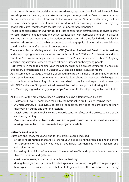professional photographer and the project coordinator, supported by a National Portrait Gallery workshop assistant and a youth worker from the partner organisation. Sessions were based at the partner venue with at least one visit to the National Portrait Gallery, usually during the third session. This appropriate mix of indoor and outdoor activities was a good way to keep young people interested, together with the use itself of photographic language.

The learning approach of the workshops took into consideration different learning styles in order to foster personal engagement and active participation, with particular attention to practical elements and experiences, the collaboration between peers, the time for individual reflective exercises, short-term and tangible results such as photographic prints or other materials that could be taken away after the workshops sessions.

The National Portrait Gallery ran also two CPD (Contined Professional Development) sessions, and one post-programme evaluation session with staff from SCYAP and Southwark. In addition, staff from Southwark participated in one session of the Project Seminar in October 2014, giving a partner organisation's view on the project and its impact on their young people.

Furthermore, in the third and final year, the Gallery organised a project seminar for 50 museum and gallery professionals, held in October 2014 and an external evaluator report.

As a dissemination strategy, the Gallery published also a toolkit, aimed at informing other cultural sector practitionners and community arts organisations about the processes, challenges and opportunities of implementing this project, and sharing practice and expertise about working with NEET audiences. It is possible to download the toolkit through the following link:

http://www.npg.org.uk/learning/young-people/domino-effect-neet-photography-project.php

All the steps of the project have been evaluated by using different ways such as:

- *• Observation Forms* completed mainly by the National Portrait Gallery Learning Staff
- *• Informal interviews* audiovisual recording (or audio recording) of the participants to know their opinion during and after the sessions
- *• Sketchbooks* a useful tool allowing the participants to reflect on the project outside of the sessions by writing
- *• Responses in writing* blank cards given to the participants on the last session, aimed at making them reflect on and evaluate the project as a whole

# **Outcomes and Legacy**

Outcomes and legacy for Year 3, and for the project overall, included:

- an efficient promotion of art and culture for young people and their families, and in general for a segment of the public who would have hardly considered to visit a museum or a cultural institution
- increasing of participants' awareness of the education offer and opportunities addressed to them in museums and galleries
- creation of meaningful partnerships within the territory
- during the project each participant created a personal portfolio; among them five participants have signed up to creative courses held in Colleges and used the portfolio created during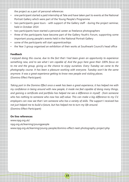the project as a part of personal references

- one participant started a paid internship at Tate and have taken part to events at the National Portrait Gallery which were part of the Young People's Programme
- two participants gave tours with support of the Gallery staff during the project seminar, held in October 2014
- two participants have started a personal career as freelance photographers
- three of the participants have become part of the Gallery Youth's Forum, supporting some important young people's events held in the National Portrait Gallery
- some of the participants will start apprenticeships
- the Year 3 group organised an exhibition of their works at Southwark Council's head office

#### **Feedback**

*I enjoyed doing this course, due to the fact that I had been given an opportunity to experience something new, and to see what I am capable of. And the guys here gave their 100% focus on to me and the group, giving us the chance to enjoy ourselves. Every Tuesday we came to the photography course. It has been a pleasure working with everyone. Tuesday won't be the same anymore. It was a great experience getting to know new people and visiting places.* (Domino Effect Participant)

*Taking part in the Domino Effect once a week has been a great experience, it has helped me with my confidence in being around with new people, it made me feel capable of doing many things, and gaining a certificate and portfolio has helped me see a difference in myself - from someone who has nothing to someone who now has self-value. This can make a big difference to my CV, employers can now see that I am someone who has a variety of skills. The support I received has not just helped me to build a future, but has helped me to turn my life around.* (Domino Effect Participant)

#### **On line references**

www.npg.org.uk/ npg.org.uk/learning/youngpeople www.npg.org.uk/learning/young-people/domino-effect-neet-photography-project.php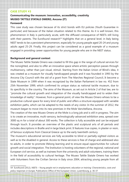#### **CASE STUDY #3**

# **Communicating the museum: innovation, accessibility, creativity MUSEO TATTILE STATALE OMERO, Ancona (IT)**

#### **Foreword**

This case study was chosen because of its strict bonds with EU policies (Youth Guarantee in particular) and because of the italian situation related to this theme. As it is well known, this phenomenon in Italy is particularly acute, with the diffused consequence of NEETs still living with their parents. The Eurofound research<sup>54</sup> highlights that on a general level, in Italy being NEET tends to be a persistent phenomenon, especially for young people aged 20-24 and young adults aged 25-29. Finally, this project can be considered as a good example of a museum engaged in providing career opportunities for young people who are in the NEET status.

#### **Background and general context**

The Museo Tattile Statale Omero was created to fill this gap in the range of cultural services for the nonsighted, and also to offer an innovative space where artistic perception passes through multisensory, rather than just visual, stimuli. Starting from the Italian Union of Blind's idea, it was created as a museum for visually handicapped people and it was founded in 1993 by the Ancona City Council with the aid of a grant from The Marches Regional Council, It become a State Museum in 1999 when it was recognized by the Italian Parliament in law no. 452 from 25th November 1999, which confirmed its unique status as national tactile museum, due to its specificity in the country. The aims of the Museum, as set out in Article 2 of that law, are to "promote the cultural growth and integration of the visually handicapped and to widen their knowledge of reality". However, from a general point, of view the Museo Omero whises to be a productive cultural space for every kind of public and offers a structure equipped with variable exhibition paths, which can be adapted to the needs of any visitor. In the summer of 2012, the museum began to move into its new premises in the Mole Vanvitelliana, Ancona.

The creation of the new Museo Omero at the Mole is a long job and is still in progress. The aim is to create an innovative, multi-sensory, technologically-advanced exhibition area, spread over 3000 sq m for a total of about 300 works. The collection is fully accessible and can be enjoyed through touch. It provides an overview of the plastic and sculptural arts of all periods and includes descriptions in Braille and in large black print. It features true copies, in plaster or resin, of famous sculptures from Classical Greece up to the early twentieth century.

The museum's educational services are fully accessible to blind or partially-sighted visitors as well as to the disabled in general. Access to these services is free of charge and addressed also to adults, in order to promote lifelong learning and to ensure equal opportunities for cultural growth and social integration. The Institution is hosting volunteers of the regional, national and European civil service, as well as trainees from the university and adult volunteers, training them in the field of accessibility to cultural heritage. The Museo Tattile Statale Omero has worked with Volunteers from the Civilian Service in Italy since 2004, attracting young people from all

54 Eurofound (2012), *NEETs – Young people not in employment, education or training: Characteristics, costs and policy responses in Europe*, Publications Office of the European Union, Luxembourg, p. 36-37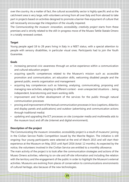over the country. As a matter of fact, the cultural accessibility sector is highly specific and so the catchment area is very large, with volunteers arriving from all over Italy and from abroad to take part in projects based on activities designed to promote a barrier-free enjoyment of culture that will necessarily encourage the integration of the visually impaired.

The *Communicating the museum: innovation, accessibility, creativity project* starts from these premises and is strictly related to the still-in-progress move of the Museo Tattile Statale Omero in a totally renewed context.

### **Target**

Young people aged 18 to 28 years living in Italy in a NEET status, with a special attention to people with sensory disabilities, in particular visual ones. Participants had to join the Youth Guarantee.

# **Goals**

- increasing personal civic awareness through an active experience within a communication and cultural education project
- acquiring specific competences related to the Museum's mission such as: accessible promotion and communication, art education skills, welcoming disabled people and the general public, events organisation and management
- acquiring key competences such as listening, analysing, communicating, proposing and managing new activities, adapting to different context - even unexpected situations -, being independent, brainstorming and team working skills
- improvement and further development of the services for the public through natural communication processes
- proving and improvement of the textual communication processes in loco (captions, didactics and display panels and publications) and outdoor (advertising and communication actions through traditional media)
- updating and upgrading the ICT processes on site (computer media and multimedia aids to the museum tour) and off site (internet and digital environment).

# **Description of the project**

The *Communicating the museum: innovation, accessibility* project is a result of museums' joining in the Civilian Service Public Competition issued by the Marche Region. The initiative is still ongoing: four young participants were selected at the end of March 2015 and will start their experience at the Museum on May 2015 until April 2016 (total: 12 months). As expected by the notice, the volunteers involved in the Civilian Service are entitled to a monthly allowance.

The main activity of the project is to look after the communication strategies and actions of the Museo Omero activities, referring to on-site and off-site information and including the relation with the territory and the engagement of the public in order to highlight the Museum's external activities. Museums are evolving from places of conservation to communications environments of cultural heritage, also because of the new technologies.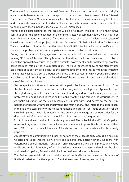The interaction between real and virtual features, direct and remote, and the role of digital environments have extended the concept of public also as potential users of the Internet. Therefore the Museo Omero also wants to take the role of a communicating Institution, addressing visitors as important mediator of social and cultural values with particular attention to people with special needs, especially with visual disabilities.

Young people participating to the project will help to reach this goal, giving their active contribution for the accomplishment of a complex strategy of communication, which has to be accessible to everyone and bearer of fundamental values such as social inclusion and culture of diversity. At the end of the project, the Museo Omero and I.Ri.Fo.R. - Institution for Research, Training and Rehabilitation for the Blind People - ONLUS Marche will issue a certificate that sums up the professional and key competences acquired by the participants.

During the 12 months of engagement the participants will be provided with an intensive training (110 hours). Lead mostly by Museum staff and experts, lessons are characterized by an interactive approach to ensure the greatest possible involvement: non formal learning, problem based learning, role playing, group discussions, individual exercises allowing the step-by-step acquisition of important skills useful to the accomplishment of their tasks within the Museum. Training activities lead also to a better awareness of the context in which young participants are asked to work. Starting from the knowledge of the Museum's mission and cultural heritage, some of the main topics are:

- Senses specific functions and features, with a particular focus on the sense of touch. From the tactile exploration process to the tactile imagination development. Approach to art through drawings in relief, bas-relief and sculpture designed for visual handicapped people: problems and possibilities; Exercise on the mobility of the blind through the vicarious senses.
- Aesthetic education for the visually impaired. Cultural rights and access to the museum heritage for people with visual impairment. The main national and international experiences in the field of accessibility to the museum heritage and artistic - aesthetic education for the visually impaired. The tactile image as an instrument of knowledge and emotion. Aids for the drawing in relief. Art education as a tool for cultural and social integration.
- Institutions and main services for the visually impaired. The Italian Blind and Visually Impaired non-profit organisation: structure, activities and membership press. Braille printers and their use. eVALUES and library telematics; ICT aids and web sites accessibility for the visually impaired.
- Accessiblity and communication. Essential notions of the e-accessibility. Accessible museum website and vocal website. Newsletters and mailing lists. Social network. Relations with editorial web of organizations, institutions, online newspapers. Managing photos and videos. Braille and audio information; Information in large type; Technologies and tools for the blind and visually impaired; Textual and digital information on site at the Museum
- The Braille system: Historic and social value of the Braille system invention. Structure of Braille alphabet and tactile approach. Practical exercises of reading and writing.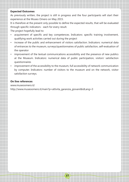#### **Expected Outcomes**

As previously written, the project is still in progress and the four participants will start their experience at the Museo Omero on May 2015.

It is therefore at the present only possible to define the expected results, that will be evaluated through specific indicators - each for every result.

The project hopefully lead to:

- acquirement of specific and key competences. Indicators: specific training involvement, qualifying work activities carried out during the project
- increase of the public and enhancement of visitors satisfaction. Indicators: numerical data of entrances to the museum, surveys/questionnaires of public satisfaction, self-evaluation of the operator
- improvement of the textual communications accessibility and the presence of new publics at the Museum. Indicators: numerical data of public participation, visitors' satisfaction questionnaires
- improvement of the accessibility to the museum, full accessibility of network communication by computer. Indicators: number of visitors to the museum and on the network, visitor satisfaction surveys.

**37**

#### **On line references**

www.museoomero.it/ http://www.museoomero.it/main?p=attivita\_garanzia\_giovani&idLang=3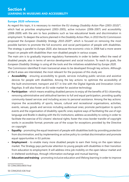# **Section 4 LEARNING IN MUSEUMS AND ACCESSIBILITY**

#### **Europe 2020 references**

As regard this topic, it is necessary to mention the EU strategy *Disability Action Plan* (2003-2010)<sup>55</sup>, which had as priorities employment (2003-2005), active inclusion (2006-2007) and accessibility (2008-2009) with the aim to face problems such as low educational levels and discrimination in employment. To deepen the actions planned in the *Disability Action Plan*, in 2010 the EU Commission proposed the *European Disability Strategy 2010-2020*56, which is focused on removing the most possible barriers to promote the full economic and social participation of people with disabilities. The strategy is parallel to *Europe 2020*, also because the economic crisis in 2008 had a more severe impact on people with disabilities than non-disabled people in various scopes.

The main aim is to gradually improve regulatory frameworks in order to better reflect the need of disabled people, also in terms of service development and social inclusion. To reach its goals, the *European Disability Strategy* is using all the tools and the initiatives established by *Europe 2020*.

The Commission identified 8 main transversal areas to be developed through key actions. Although all the 8 areas are interrelated, the most relevant for the purposes of this study are:

- **Accessibility** ensuring accessibility to goods, services including public services and assistive devices for people with disabilities. Among the key actions: to optimize the accessibility of the built environment, transport and ICT in line with the Digital Agenda and Innovation Union flagships. It will also foster an EU-wide market for assistive technology
- **Participation** which means enabling disabled persons to enjoy all the benefits of EU citizenship, removing administrative and attitudinal barriers to full and equal participation, providing quality community-based services and including access to personal assistance. Among the key actions: improve the accessibility of sports, leisure, cultural and recreational organisations, activities, events, venues, goods and services including audiovisual ones; promote participation to sports events and the organisation of disability-specific ones; explore ways of facilitating the use of sign language and Braille in dealing with the EU institutions; address accessibility to voting in order to facilitate the exercise of EU citizens' electoral rights; foster the cross-border transfer of copyright works in accessible format; promote use of the scope for exceptions provided by the Directive on copyright
- **Equality** promoting the equal treatment of people with disabilities both by providing protection from discrimination, and by implementing an active policy to combat discrimination and promote equal opportunities in EU policies
- **Employment** to enable many more disabled people to earn their living on the open labour market. The Strategy pays particular attention to young people with disabilities in their transition from education to employment. It will address intra-job mobility on the open labour market and in sheltered workshops, through information exchange and mutual learning
- **• Education and training** promoting inclusive education and lifelong learning in order to improve

**38**

56 COM(2010) 636 final

<sup>55</sup> COM/2003/0650 final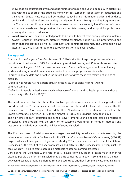• knowledge on educational levels and opportunities for pupils and young people with disabilities, also with the support of the strategic framework for European cooperation in education and training (ET 2020). These goals will be reached by facilitating information advice and guidance on EU and national level and enhancing participation in the Lifelong Learning Programme and the Youth in Action Programme. Further foreseen actions are an early identification of special educational needs and the provision of an appropriate training and support for professional working at all levels of education

**Social protection** - enable disabled people to be able to benefit from social protection systems, poverty reduction programmes, disability-related assistance, public housing programmes and other enabling services, as well as retirement and benefit programmes. The Commission pays attention to these issues through the European Platform against Poverty.

# **Background**

As stated in the *European Disability Strategy*, "in 2010 in the 16-19 age group the rate of nonparticipation in education is 37% for considerably restricted people, and 25% for those restricted to some extent, against 17% for those not restricted." Since the Strategy's establishment, many studies and analysis of data were made in order to evaluate progresses or difficulties. In order to analise data and establish indicators, Eurostat gives these two "main" definitions of disability:

"Definition 1: People having a basic activity difficulty (such as sight, hearing, walking, communicating);

"Definition 2: People limited in work activity because of a longstanding health problem and/or a basic activity difficulty (LHPAD)."<sup>57</sup>

The latest data from Eurostat shows that disabled people leave education and training earlier that non-disabled ones<sup>58</sup>, in particular, about one person with basic difficulties out of four in the EU compared with 12% of people without difficulties. At national level the situation varies from the lowest percentage in Sweden (11%) to the highest in Turkey and Bulgaria (more than 60%).

The high rates of early education and school leavers among young disabled could be related to accessibility and problem with the provision of suitable programmes, in terms of methods and instruments which do not meet the abilities of young disabled.

The European need of raising awareness regard accessibility in education is witnessed by the international dissemination Conference for the ICT for *Information Accessibility in Learning* (ICT4IAL) project, which will take place in Riga on 27–28 May 2015. The conference will present the ICT4IAL Guidelines, as the result of two years of research and activities. The Guidelines will be very useful as tools which will help to create accessible materials related to learning processes.

Considering the Definition 2, the rate of early leavers from education is again much higher for disabled people than for non-disabled ones, 31,5% compared with 12%. Also in this case the gap between these two groups is different from one country to another, from the lowest ones in Finland,

**39**

57 ec.europa.eu/eurostat/statistics-explained/index.php/Disability\_statistics\_-\_access\_to\_education\_and\_training

58 ec.europa.eu/eurostat/statistics-explained/index.php/Disability\_statistics\_-\_access\_to\_education\_and\_training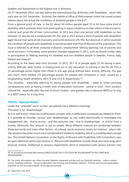Sweden and Switzerland to the highest one in Romania.

On 2nd December 2014, one day before the *International Day of Persons with Disabilities* - which falls each year on 3rd December - Eurostat, the statistical office of theEuropean Union has issued a press release about the actual life conditions of disabled people in the EU59.

From a general point of view, in the EU about 44 million people aged 15 to 64 have some kind of disability, which prevents them from participating in equal conditions to than others in the economic, cultural and social life of their communities. In 2011 less than one person with disabilities on two between 15 and 64 are in employment (47.3%) and in 2013 almost a third of people with disabilities aged 16 and over were at risk of poverty and social exclusion (29, 9%). But above all, in all EU countries the condition of people with disabilities is less favourable than that of the rest of the population. This issue is referred to all three analyzed indicators: employment, lifelong learning, risk of poverty and social exclusion. Fortunately, some positive changes happened in 2011, such as almost similar rates in participation to lifelong learning for disabled and non-disabled people in Sweden, France, Italy, Ireland and Greece<sup>60</sup>.

According to the latest data from Eurostat "in 2011, 30.7 % of people aged 15-34 having a basic activity difficulty were neither in employment nor in any education or training in the EU-28. This is 15 percentage points higher than those in this age group without basic activity difficulty. The gap was much more marked (25 percentage points) for people with limitations in work caused by a longstanding health problems (40.4 % and 15.4 % respectively)."<sup>61</sup>

This situation - especially referring to young people with disabilities - leads to some worrying consequences such as having a lower level of education, exclusion - partial or total - from society's cultural life - especially after the end of school studies - and greater risks to become NEETs or to stay in a NEET status for a long time.

# **FOCUS: "Special Needs"**

Under the "umbrella" word "access" are placed many different meanings.

The same is for "disadvantage".

As it is well known, these are multifaceted concepts with multifaceted consequences related to them. It is possible to consider "access" and "disadvantage" as two useful benchmarks to investigate the engagement rate - due to access - and the exclusion rate - due to disadvantage - in and/or from a society. Obviously, this "picture" is not so simple. Many different nuances are positioned between these two words and many other factors - at cultural, social, economic levels, for instance - play a role. The situation becomes much more complicated if related to disability, which is a multifaceted concept too. The United Nations Convention on the Rights of Persons with Disabilities (UN Convention) uses an open definition which says (Article 1): "Persons with disabilities include those who have long-term physical, mental, intellectual or sensory impairments which in interaction with various barriers may

<sup>59</sup> ec.europa.eu/eurostat/documents/2995521/6181592/3-02122014-BP-EN.pdf/aefdf716-f420-448f-8cba 893e90e6b460

<sup>60</sup> For more information see other Eurostat Statistics explained articles such as *Disability statistics - Labour market access, Disability statistics - Access to education and training and Disability statistics - Poverty and income inequalities*. Available on the Eurostat website ec.europa.eu/eurostat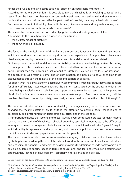hinder their full and effective participation in society on an equal basis with others."<sup>62</sup>

According to the UN Convention it is possible to say that disability is an "evolving concept" and a result "from the interaction between persons with impairments and attitudinal and environmental barriers that hinders their full and effective participation in society on an equal basis with others".

So, the same concept of "disability" has multiple faces, diverse nuances and very wide scopes , which could been summarized with the words "special needs".

This means two simultaneous actions: identifying the needs and finding ways to fill them. Approaches to this issue have been divided in 2 main trends:

- the *medical* model of disability
- the *social* model of disability

The focus of the medical model of disability are the person's functional limitations (impairments) which are considered as the cause of any disadvantages experienced. It is possible to limit these disadvantages only by treatment or cure. Nowadays this model is considered outdated.

On the opposite, the social model focuses on disability, considered as disabling barriers. According to this approach, the focus become external factors, related to environmental, social and behavioural barriers rather than the individual's lack of abilities. Disability is caused by the loss - or limitation of opportunities as a result of some kind of discrimination. It is possible to solve or to limit these disadvantages through the removal of the disabling barriers at all levels.

"Suddenly what I had always known, deep down, was confirmed. It wasn't my body that was responsible for all my difficulties, it was external factors, the barriers constructed by the society in which I live. I was being disabled - my capabilities and opportunities were being restricted - by prejudice, discrimination, inaccessible environments and inadequate support. Even more important, if all the problems had been created by society, then surely society could un-create them. Revolutionary!"<sup>63</sup>

The common adoption of social model of disability encourages society to be more inclusive, and changed the meaning itself of *needs*, shifting the attention to possible social changes and to accessibility as a precondition for participation in society and in the economy.

It is important to notice that looking into these issues is a very complicated process for many reasons such as the diverse kind of disabilities – physical, cognitive, psychical or mental, etc. -, the differences among an acquired or congenital disability - especially at an individual level - the "dynamic" way in which disability is represented and approached, which concerns political, social and cultural issues that influence attitudes and prejudices of non-disabled people.

Thanks to the social model, most recent researches are trying to take into account all these factors, by shifting from considering the role of the external world to the internal emotional life of individuals and vice versa. The general trend seems to be going towards the definition of wide frameworks which could be suitable to specific needs in terms of educational and learning styles, self-determination opportunities, technology development - especially in terms of aids and devices.

<sup>63</sup> L. Crow, *Including All of Our Lives: Renewing the social model of disability*, 1992 in 'Exploring the Divide', edited by Colin Barnes and Geof Mercer, Leeds: The Disability Press, 1996, pp. 55 – 72 disability-studies.leeds.ac.uk/files/library/Crow-exploring-the-divide-ch4.pdf



<sup>62</sup> *Convention on the Rights of Persons with Disabilities* available on www.un.org/disabilities/default.asp?id=150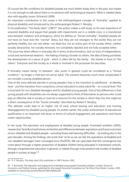Of course the life-conditions for disabled people are much better today than in the past, but maybe it is not enough to talk about them or to advance with technological research. What is needed deals also with equality issues (Schianchi 2009).

An important contribution in this scope is the anthropological concept of "liminality" applied to physical disability and introduced by the anthropologist Robert F. Murphy.

In his publication "The body silent" (1987)<sup>64</sup>, the author makes a self-study on his own experience of acquired disability and argues that people with impairments are in a middle zone, in a transitional area between isolation and emergency, which he defines as "Social Liminality". Disabled people do not have (or have lost) the "normal" status, but they are not strangers to the world; they are not perfectly healthy, but not sick either; not dead but not an active part of the society either; neither socially alive/active, nor socially removed, not completely rejected and not fully accepted either.

This issue has direct effects in everyday life in terms of discrimination, lack (or loss) of independence, social and sentimental relations - the feeling of being a burden to others, the idea of being punished, the development of a sense of guilt - which is often felt by the family - the shame in front of "the others". Everyone and the society as a whole is involved in the processes he describes.

If liminality means being "in between", also youth in general could be considered as a "liminal condition": no longer a child but not yet an adult. The scenario becomes much more complicated if we consider a young disabled person.

One of the most delicate periods in young people's lives is the transition to adulthood - at identity level - and the transition from compulsory school education to early adult life – on a social level. This is true both for non-disabled teenagers and for disabled young people. One of the differences is that young people with disabilities are not always supported to think of themselves as persons who could play an effective role in society or even be a resource for the society in which they live; this might be a direct consequence of the "Social Liminality" described by Robert F. Murphy.

This attitude could lead to an higher risk of early school leaving and education and training disengagement by disabled young people. As written earlier, the under-achievement of educational qualification is an important risk-factor in terms of cultural engagement, job aspirations and future career opportunities.

In her study *The education and employment of disabled young people. Frustrated ambition* (2005), reasearcher Tania Burchardt shows similarities and differences between aspirations and future outcomes of non-disabled and disabled people - excluding those with learning difficulties -, by looking also in the past decades. Among the findings, she wrote that "as far as we can tell, the aspirations of disabled and non-disabled teenagers have converged since the1970s. We can speculate that this convergence has come about through a higher proportion of disabled children being educated in mainstream schools, through comprehensive education in general, or indeed through more positive role models of disabled people in society at large."<sup>65</sup>

<sup>64</sup> R. F. Murphy, *The body silent* (first published in 1987) Norton 2001

<sup>65</sup> T. Burchardt, *The education and employment of disabled young people Frustrated ambition*, London School of Economics and Political Science, published for the Joseph Rowntree Foundation by The Policy Press Bristol, London, 2005 available on www.jrf.org.uk/sites/files/jrf/1861348363.pdf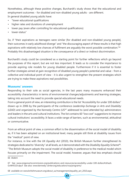Nonetheless, although these positive changes, Burchardt's study shows that the educational and employment outcomes - for disabled and non-disabled young adults - are different. In general disabled young adults have:

- "lower educational qualifications
- higher rates and durations of unemployment
- lower pay (even after controlling for educational qualifications)
- lower-status"

So, if "their aspirations as teenagers were similar [for disabled and non-disabled young people], their outcomes in early adulthood diverge" and "the discouraging aspect of these results is that high aspirations with relatively low chances of fulfilment are arguably the worst possible combination."<sup>66</sup> Probably this disadvantaged situation is the consequence of a direct or indirect discrimination.

Burchardt's study could be considered as a starting point for further reflections which go beyond the purposes of this report, but are not less important. It leads us to consider the importance to provide aspiring role models for young disabled people. Furthermore if it is essential to foster further strategies aimed at gain recognition of disabled young people's potential and value - from a collective and individual point of view - it is also urgent to strengthen the present strategies which are trying to make these aspirations real possibilities.

### **Museums' answers**

Responding to their sole as social agencies, in the last years many museums enhanced their accessibility characteristics in terms of environmental changes/adjustments and learning strategies, taking into account the need to provide special educational needs.

From a general point of view, an interesting contribution is the list "Accessibility for under 100 dollars" drawn up in 2006 by the participants of the conference *Leadership Exchange in Arts and Disability*  (LEAD) and organized by the Kennedy Centre (US)<sup>67</sup> addressed to (and attended by) administrators and leaders in the arts and cultural institutions. The list contains 60 "low cost" suggestions to improve cultural institutions' accessibility. It faces a wide range of barriers, such as environmental, attitudinal or communicative.

From an ethical point of view, a common effort is the dissemination of the social model of disability as, if it has been adopted on an institutional level, many people still think at disability issues from the "medical" point of view.

For instance, in line with the UK *Equality Act* (2010), the British Museum further strengthened its strategies dedicated to "diversity" at all levels, as it demonstrated with the *Disability Equality Scheme*68. "The British Museum adopts the social model of disability in preference to the medical model which focuses primarily on the impairment. The social model, however, argues that less emphasis should

**43**

66 *Ibidem*

<sup>67</sup> See www.oregonartscommission.org/publications-and-resources/accessibility-under-100-dollars#sthash. GvW451Di.dpuf See also: www.kennedy-center.org/education/vsa/programs/

<sup>68</sup> available on www.britishmuseum.org/about\_us/management/equality\_act\_2010.aspx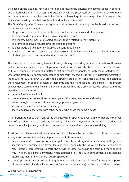be placed on the disability itself and more on addressing the physical, intellectual, sensory, cultural and attitudinal barriers to access and equality which are presented by the physical environment and culture in which disabled people live. With the lessening of these inequalities, it is argued, the challenges faced by disabled people will be significantly reduced."

The *Disability Equality Scheme* main goals could be useful to indentify the bechmarks in terms of museums' inclusive strategies:

- "To promote equality of opportunity between disabled persons and other persons
- To eliminate discrimination that is unlawful under the Act
- To eliminate harassment of disabled persons that is related to their disabilities
- To promote positive attitudes towards disabled persons
- To encourage participation by disabled persons in public life
- To take steps to take account of disabled persons' disabilities, even where that involves treating disabled persons more favourably than other persons"

The ways in which museums try to reach these goals vary depending on specific situations. However in the last years, many positive steps were made also because the benefits of the contact with cultural heritage are nowadays a matter of fact and regard all people, not only the disabled ones. One of the strongest effort to these issues comes from "*Meet me. The MoMA Alzherimer's project*"69. From 2007 to 2014 MoMA (US) provided a specific project for Alzheimer's patients, dedicated to the involvement of people affected by dementia and their families and care partners. The project allowed deep studies in this field. In particular it proved that the close contact with artworks and the experience in the museum:

- provide intellectual stimuli
- create meaningful connections between personal stories, memories and reality
- live meaningful experiences that encourage personal growth
- strengthen the relationship with the caregiver
- share a positive experience with other people who share the same disease

It is important to notice that many of the benefits written above could work also for people with other kinds of disabilities. In fact accessibility is not only a physical matter, such as environmental barriers that prevent the full enjoyment, but is also concerned with perception and cultural sensibility.

Apart from architectural adjustments - removal of architectural barriers -, the most diffused museums' strategies on accessibility and learning are referred to these scopes*:*

- *• tailored proposals* provision of special paths, which are designed in accordance with groups' specific needs, considering different learning styles; generally, the Education Team is available to meet group's representatives, before the activity, in order to design the tour in a more specific way. This service is particularly useful when addressed to visitors with developmental and learning disabilities, mental illness or with autism spectrum
- *• specific programmes* provision of programmed guided tours or workshops for groups composed of people with similar disabilities - such as for visitors who are deaf, or blind or partially sighted etc.

<sup>69</sup> http://www.moma.org/meetme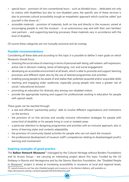- *• special tours* provision of non-conventional tours such as blinded tours -, dedicated not only to visitors with disabilities but also to non-disabled users; the specific aim of these services is also to promote cultural accessibility trough an empathetic approach which could be called "put yourself in the shoes of..."
- *• accessible materials* provision of materials, both on line and directly in the museum, aimed at encouraging people to visit the museum - in an autonomous way and with their own families/ care partners -, and supporting learning processes; these materials vary in accordance with the kind of disability

Of course these categories are not mutually exclusive and do overlap.

# **Possible recommendations**

Considering all these data and according to this topic it is possible to define 5 main goals on which Museums should focus:

- stressing the social value of a learning in terms of personal well-being, self-esteem, self-expression, active role in decision-making, sense of belonging, civic and social engagement
- developing an accessible environment at all levels, which is able to promote and support learning processes and different styles also by the use of tailored programmes and activities
- enabling young people to be aware of and realize their potential (acquired and/or acquirable skills)
- reaching and engaging wider audiences, especially young people who have a greater risk of social / educational exclusion
- promoting an education for diversity also among non-disabled visitors
- provide the appropriate training and support for professionals working in education for people with special needs

These goals can be reached through:

- a real and efficient "partnership policy", able to involve different organisations and institutions on the territory
- the provision of on line services and socially inclusive information strategies for people with some kind of disability or for people living in rural or isolated areas
- a particular attention to designing programmes and activities with an inclusive approach, also in terms of learning styles and contents adaptability
- the provision of community-based activities for people who can not reach the museum
- the professional development of museum staff's competences relating to disadvantaged youth's learning and involvement

# **Inspiring examples of good practice**

The **Balkan Network Museums**<sup>70</sup> (managed by the Cultural Heritage without Borders Foundation) and its Access Group – are carrying an interesting project about this topic. Funded by the US Embassy in Bosnia and Herzegovina and by the Stavros Niarchos Foundation, the "Disabled People in Museums" project is aimed at increasing accessibility in museums at local and regional levels,

70 www.bmuseums.net See also *Disabled people and museums in the Western Balkans,* pdf available on http://bmuseums.net/wp-content/uploads/2014/02/Niarchos.pdf

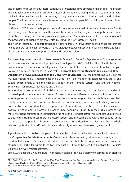also in terms of museum educators' continued professional development in this scope. The project wants to take on the role of an efficient strategy, aimed at encouraging long-term cooperations with the institutions involved, such as museums, non - governamental organisations, artists and disabled people. The intended consequence is an increase in disabled people's participation in the cultural life and in museums' activities.

In 2014 and 2015 five workshops and several conferences were held in various cities across Bosnia and Herzegovina. Among the main themes of the workshops: learning and sharing the social model of disability, learning different ways of increasing museums' accessibility (at all levels), learning about the production of disability-aid tools, also by using the new "Disability Toolkit".

This network-strategy is also strengthened by other parallel initiatives such as the annual conferences "Meet, See, Do", aimed at promoting a shared dialogue between museums in Bosnia and Herzegovina, also in terms of engagement participation and social inclusion.

An interesting project regarding these issues is *Rethinking Disability Representation71*, a large scale, and experimental action-research project which took place in 2007 - 2008 in the UK with the aim to promote new approaches to disability-related themes and to the representation of disabled people's lives within museums and galleries. Lead by the **Research Centre for Museums and Galleries** (RCMG) **Department of Museum Studies of the University of Leicester (UK), the project involved 9 partner** museums across the UK, departments and a wide Think Tank made of disabled activists, artists, and cultural practitioners. It had the financial support of the Heritage Lottery Fund and the National Endowment for Science, Technology and the Arts.

By adopting the social model of disability as conceptual framework, this complex group worked in partnership with the 9 museums involved. A great number of different activities - such as exhibitions, workshops and educational and evaluation sessions - were designed by the whole team and held mainly in museums in order to explore the wide field of disability representations, to change visitors' both disabled and non-disabled - perceptions and attitudes towards disability, to turn them in a more positive direction and to promote a broader understanding of disability-related issues. Among the more interesting features of this project: the facing of the strongest stereotypes and prejudices linked to this field, including those more "politically correct" and the partnership with organisations run by (not for) disabled people. This project is too articulated to be described in a few lines, but its whole process is published in a pdf available on www.le.ac.uk/museumstudies/research/rcmg.html

A great example on disabled people's inclusion in the cultural, social and economic field comes from the **Cooperativa Sociale Accaparlante Onlus72** which have as main goal an effective integration of the disabled persons, who are considered not only as users but also active promoters and producers of culture. In particular, within these two organisations it could be useful to highlight the *Progetto Calamaio* (Inkwell Project) activities.

Since 1996 it has the unique feature - in the Italian context - to have a teamwork composed of disabled

<sup>71</sup> J. Dodd, R. Sandell, D. Jolly, C. Jones, *Rethinking Disability Representation in Museums and Galleries,* Research Centre for Museums and Galleries (RCMG) Department of Museum Studies, University of Leicester, 2008 www.le.ac.uk/museumstudies/research/rcmg.html

<sup>72</sup> http://www.accaparlante.it/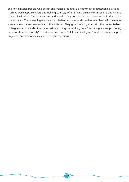and non-disabled people, who design and manage together a great variety of educational activities (such as workshops, seminars and training courses), often in partnership with museums and various cultural institutions. The activities are addressed mainly to schools and professionals in the social/ cultural sector. The interesting feature is that disabled educators - also with severe physical impairments - are co-creators and co-leaders of the activities. They give tours together with their non-disabled colleagues - who are also their care partners during the working time. The main goals are promoting an "education for diversity", the development of a "relational intelligence" and the overcoming of prejudices and stereotypes related to disabled persons.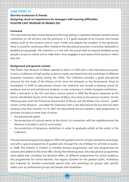#### **CASE STUDY #4**

# **Elorrieta Errekamari & friends. Designing visual art experiences for teenagers with learning difficulties. PLASTER CAST MUSEUM OF BILBAO (ES)**

#### **Foreword**

This case study has been chosen because of the long-lasting co-operation between several cultural institutions on the territory and the provinces: it is a good example of an inclusive and mutual relation built by the museum and its users. Finally and despite the numbers of the personnel, there is a positive continuous effort related to the educational provision of activities dedicated to disabled young people. This intention is in line with the actual need to improve disabled young people's access to culture and to make them more engaged in and aware of the society in which they live.

#### **Background and general context**

The Plaster Cast Museum of Bilbao opened its doors in 1930 with a clear educational purpose. It owns a Collection of high quality sculpture copies purchased from the workshops of different European museums, mainly during the 1930s. The Collection provides a great educational resource for the study of the History of Art since the Antiquity to the Renaissance. Since its foundation, to fulfill its educational mission, the institution has housed a drawing school for amateurs and art and architecture students, as was customary in similar European institutions. After a relocation in the 50's and and a closure period in 2006 the Museum reopened at the former refurbished church of the Holy Heart of Mary, very close to the previous location. On the following year, both the Provincial Government of Biscay and the Bilbao City Council - public owners of the Museum - provided the institution with a new Educational Service that has been working since that moment on. In 2007 the Educational Service started a wide programme of activities focused on three lines of action:

- the educational aspect
- the production of cultural events at the church (in connection with the neighbourhood the Museum is located in and its community).
- the production of temporary exhibitions in order to gradually exhibit all the works in the Collection.

The educational programmes began in 2007 with guided visits for schools, backed by workshops, and with a special programme of guided visits through the city of Bilbao for all kinds of public. In 2008, The *Artwork in Context* (a monthly lectures programme), and new programmes for schools were added to the initial offer. During the following years, new educational programmes were added and, nowadays the Museum offers 10 different programmes for school audience, two programmes for school teachers, five regular activities for the general public, workshops and materials for families-customized special visits and workshops for groups with specific needs such as professional groups and people with disabilities.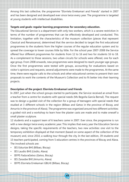Among this last collective, the programme "Elorrieta Errekamari and Friends" started in 2007 and has been designed and developed ever since twice every year. The programme is targeted at young students with intellectual disabilities.

#### **Targets and goals: regular learning programmes for secondary education.**

The Educational Service is a department with only two workers, which is a severe restriction in terms of the number of programmes that can be effectively developed and conducted. This limitation, together with the characteristics of the museum collection (pieces that represent Classical and Renaissance), determined that the service decided to target the first educational programmes to the students from the higher courses of the regular education system and to spread the coverage to lower courses little by little. For the school year 2007-2008 the Service offered four different programmes for students from 12 to 16 and two for students 16 to 18. As a complement to those sessions, two urban circuits for schools were offered, one for each age group. From 2008 onwards, new programmes were designed to reach younger age groups. Once the first programmes were tested with groups, accounting for evaluations based on visitor's opinions and requests, several adjustments were made to the programmes. At the same time, there were regular calls to the schools and other educational centres to present their own proposals to work the contents of the Museum's Collection and to fit better into their learning projects.

#### **Description of the project: Elorrieta Errekamari and friends**

In 2007, just when the school groups started to participate, the Service received an email from a teacher from a centre for students with special needs (Ms Begoña García Bernal). The request was to design a guided visit of the collection for a group of teenagers with special needs that studied at 3 different schools in the region (Bilbao and Getxo in the province of Biscay, and Amurrio in the province of Alava). The programme was organized around two different activities: a guided visit and a workshop to learn how the plaster casts are made and to make oneself a small plaster sculpture.

12 students and a support team of 6 teachers came in 2007. Ever since, the programme is run with a new design twice every academic year. This implies that every year the Education Service designs, taking the specific requirements of the teachers, two new activities: one visit to the temporary exhibition displayed at that moment (based on some aspect of the collection of the museum) and, since 2010, a walking tour through the city. In the last edition, 39 students and 15 teachers participated, coming from 5 education centres in the provinces of Biscay and Alava. The involved schools are:

- IES Eskurtze BHI (Bilbao, Biscay)
- IES Laudio BHI (Llodio, Alava)
- IEFPS FaduraGetxo (Getxo, Biscay)
- IES Zaraobe BHI (Amurrio, Alava)
- IEFPS Elorrieta Errekamari GBLHI (Bilbao, Biscay)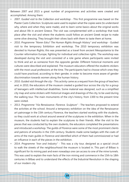Between 2007 and 2015 a great number of programmes and activities were created and accomplished. Among them:

- 2007. *Guided visit to the Collection and workshop* This first programme was based on the Plaster Casts Collection. Sculptures were used to explain what the copies were (to understand why, where and when they were made), and to learn some basics about the original works and about life in ancient Greece. The visit was complemented with a workshop that took place after the visit and where the students could follow an ancient Greek recipe to make some olive dressing. They brought their olives back with them to taste them at home.
- 2010. *Programme "Noren Esku? The Human Rights through History" and workshop* Guided visit to the temporary Exhibition and workshop. The 2010 temporary exhibition was devoted to Human Rights; this was presented as a travel from ancient Mesopotamia to the Counter reformation Europe, fighting for individual and collective rights. The workshop was developed during the visit and consisted of a role game where participants were invited to think and act as someone from the opposite gender. Different historical moments and cultures were described and explained. The museum educators offered the students stickers with the most usual professions at the time. The participants had to choose which ones they could have practiced, according to their gender, in order to become more aware of gender discrimination towards women along the human history.
- 2010. *Guided visit through the city* This activity came as a request from the group of teachers and, in 2010, the educators of the museum created a guided tour across the city for a group of teenagers with intellectual disabilities. Some material was designed, such as a simplified city map and some stickers with historical images and drawings of the city, to be used during the walking tour. The main monuments of the city's history, from 1300 to the present time were visited.
- 2013. *Programme "Via Renaissance. Florence. Sculpture"* The teachers proposed to extend the activities at the school. Around a temporary exhibition on the idea of the Renaissance art patronage in the 15th century Florence, the teachers started working with the students, so they could work at school around several of the sculptures in the exhibition. When in the museum, the students had to explain the sculptures to their friends. After the visit to the pieces that was conducted by the own students, the educators completed the presentations and introduced a workshop. The guilds of Florence were some of the most prominent clients and patrons of artworks in the 15th century. Students made some badges with the coats of arms of the main guilds in Florence and identified which of them had commissioned or had an influence in each of the pieces in the exhibition.
- 2014. *Programme "Iron and Industry"* This was a city tour, designed as a special circuit to walk the streets of the neighbourhood the museum is located in. This part of Bilbao is significant for its mining past and even nowadays one can access to one of the mine tunnels. This was used to explain the main facts of the iron mining and commerce in the 15th to 18th centuries in Bilbao and to understand the effects of the Industrial Revolution in the shaping of our modern city.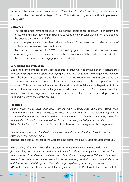At present, the latest created programme is *"The Bilbao Consulate"*, a walking tour dedicated to discovering the commercial heritage of Bilbao. This is still in progress and will be implemented in May 2015.

#### **Outcomes**

- The programmes have succeeded in supporting participants' approach to museum and territory cultural heritage, with the positive consequence to break down barriers and opening the door to a richer cultural life
- young people involved considered the experience of the project as positive in terms of achievement, self-esteem and confidence
- the partnership started in 2007 is increasing year by year, with the consequent acknowledgement of the museum's role in the territory as a social and educational institution
- the museum succeeded in engaging a wider audiences

# **Conclusions and evaluation**

One of the key elements for the success of this initiative was the attitude of the teachers that requested a programme properly identifying the skills to be acquired and that gave the museum team the freedom to propose and design well adapted experiences. At the same time, the support teachers made good use of this resource in their teaching and learning practices in the classroom. This has allowed a long-term collaboration and the Educational Department of the museum faces every year new challenges to provide these five schools (and the new ones that may join) with new programmes. Learning materials and other resources are adapted to the skills and circumstances of the groups.

### **Feedback**

*As they have told us more than once, they are eager to come back again every school year. Sometimes they have enough time to come twice, some years only once. The fact that they keep on coming and bringing new people with them is proof enough that the museum is doing something well, we think. But, when we read their mails and comments, we feel greatly gratified.* Itziar Martija Recalde. Educational Service of the Museum and designer of the programmes.

*...I hope you can because the Plaster Cast Museum and your explanations have become an essential part of our curriculum.*

Begoña Pérez Bernal. Teacher at the work learning classes from IEFPS Elorrieta Errekamari GBLHI

*In education, things work when there is a teacher WHISHING to communicate that which fascinates her, and that teacher, in this case, is Itziar Martija who clearly feels real passion for that she transmits and she wants the others to feel this very same passion. This wish drives her to adapt the contents, as she fills them with life and with a spark that captivates our students, us and, I think, the rest of the public. This is the simple mystery of our loving for her visits.* Mª Isable Gómez. Teacher at the work learning classes from IEFPS Elorrieta Errekamari GBLHI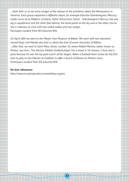*…Itziar took us to see some images of the statues at the exhibition about the Renaissance in Florence. Each group explained a different statue, for example Eskurtze Giambologna's Mercury, Llodio Lucca de la Robbia's Cantoria, Getxo Verrocchio's David… Giambologna's Mercury has one leg in equilibrium and the other foot behind, the hand points to the sky and in the other one he has a caduceus (a cane with two coiled snakes and two wings)…* Partcipant student from IES Eskurtze BHI.

*On April 18th we went to the Plaster Cast Museum of Bilbao. We were with two educators named Itziar and Markel who told us about the lives of some characters of Bilbao… …After that, we went to Saint Mary Street, number 10, where Rafael Moreno, better known as Pitxitxi, was born. This famous Athletic football player has a street in his honour, a bust and a prize because he was the top goal-scorer of the league. When a football team comes for the first time to play to San Mames its tradition to offer a bunch of flowers to Pitxitxi's bust…* Participant student from IES Eskurtze BHI.

**52**

#### **On line references**

http://www.museoreproduccionesbilbao.org/es/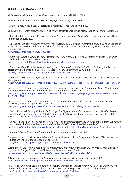## **ESSENTIAL BIBLIOGRAPHY**

M. Benasayag, G. Schmit, *L'epoca delle passioni tristi*, Feltrinelli, Milan 2004

M. Benasayag, *Contro il niente. ABC dell'impegno*, Feltrinelli, MIlan 2005

A. Bollo, *I pubblici dei musei. Conoscenza e Politiche*, Franco Angeli, Milan 2008

I. Braendholt, J.T. Jensen et al., *Museums - Knowledge, democracy and transformation*, Danish Agency for Culture, 2014

I. Braendholt, J.T. Jensen et al., *Museums. Social learning spaces and knowledge production processes*, Danish Agency for Culture, 2013

T. Burchardt, *The education and employment of disabled young people Frustrated ambition*, London School of Economics and Political Science, published for the Joseph Rowntree Foundation by The Policy Press Bristol, London, 2005

www.jrf.org.uk/sites/files/jrf/1861348363.pdf

A. Carenzio, *Digital media and youth: social uses of new technologies. Two researches from Italy*, Università Cattolica del Sacro Cuore, Milano 2008 www.euromeduc.eu/IMG/doc/Digital\_media\_and\_youth\_alessandra\_carenzio.doc

L. Crow, *Including All of Our Lives: Renewing the social model of disability*, 1992, in 'Exploring the Divide', edited by Colin Barnes and Geof Mercer, Leeds: The Disability Press, 1996, pp. 55 – 72 disability-studies.leeds.ac.uk/files/library/Crow-exploring-the-divide-ch4.pdf

Da Milano C., *Museums as agent of social inclusion,* Eccom – European Centre for Cultural Organisation and Management

museummediators.eu/wp-content/uploads/2013/09/Museums-as-agents-of-social-inclusion\_DaMilano.pdf

Department for Business, Innovation and Skills, *Motivation and Barriers to Learning for Young People not in Education, Employment or Training*, Research paper number 87, London 2013 www.gov.uk/government/publications/motivation-and-barriers-to-learning-for-young-people-not-in-education-employment-or-training

Department for Business, Innovation and Skills research *Smart cities international case studies: global innovators,* Research paper n. 135, London 2013 www.gov.uk/government/publications/smart-cities-international-case-studies-global-innovators

J. Dodd, R. Sandell, D. Jolly, C. Jones, *Rethinking Disability Representation in Museums and Galleries,* Research Centre for Museums and Galleries (RCMG) Department of Museum Studies, University of Leicester, 2008 www.le.ac.uk/museumstudies/research/rcmg.html

J. Dodd, R. Sandell, D. Jolly, C. Jones, *Rethinking Disability Representation in Museums and Galleries: Supporting papers,* Research Centre for Museums and Galleries, (RCMG) University of Leicester, 2008 www2.le.ac.uk/departments/museumstudies/rcmg/publicationsRethinkingDisabilityRepresentationSupportingPapers.pdf

engage 22 *Young People and Agency*, published by engage, London, July 2008

European Commission Directorate General for education and culture, *European Audiences: 2020 and beyond*, Publications Office of the European Union, 2012 http://bookshop.europa.eu/en/european-audiences-pbNC3112683/

Eurofound, *NEETs – Young people not in employment, education or training: Characteristics, costs and policy responses in Europe*, Publications Office of the European Union, 2012 www.eurofound.europa.eu/sites/default/files/ef\_files/pubdocs/2012/54/en/1/EF1254EN.pdf

K. Gibbs, M. Sani, J. Thompson, *Lifelong Learning in Museums. A European Handbook*, 2007 online.ibc.regione.emilia-romagna.it/I/libri/pdf/LifelongLearninginMuseums.pdf

M. Ito et al., *Living and Learning with New Media: Summary of Findings from the Digital Youth Project,* The John D. and Catherine T. MacArthur Foundation Reports on Digital Media and Learning, 2008 http://digitalyouth.ischool.berkeley.edu/files/report/digitalyouth-WhitePaper.pdf

**53**